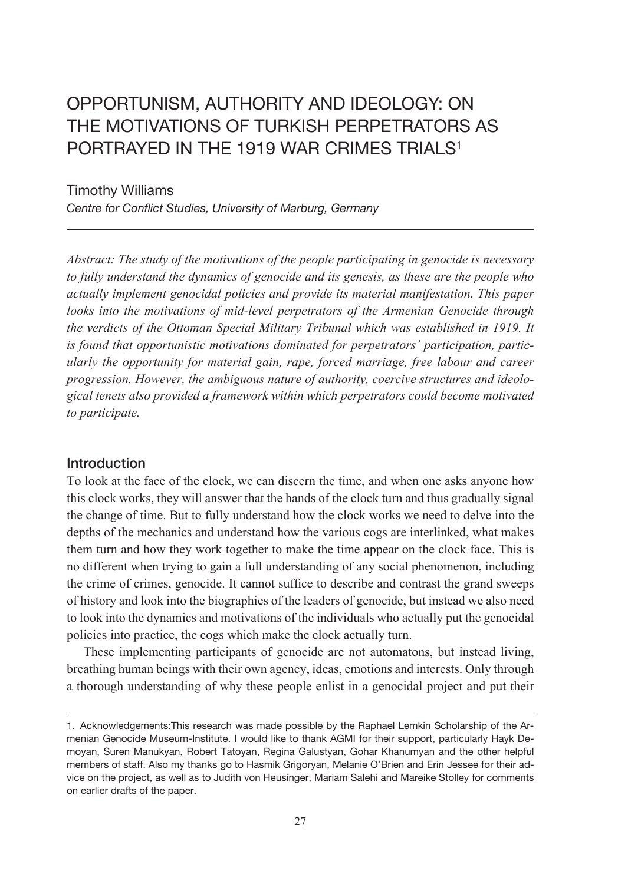# Opportunism, Authority and Ideology: On The Motivations of Turkish perpetrators as PORTRAYED IN THE 1919 WAR CRIMES TRIALS<sup>1</sup>

Timothy Williams

*Centre for Conflict Studies, University of Marburg, Germany*

*Abstract: The study of the motivations of the people participating in genocide is necessary to fully understand the dynamics of genocide and its genesis, as these are the people who actually implement genocidal policies and provide its material manifestation. This paper looks into the motivations of mid-level perpetrators of the Armenian Genocide through the verdicts of the Ottoman Special Military Tribunal which was established in 1919. It is found that opportunistic motivations dominated for perpetrators' participation, particularly the opportunity for material gain, rape, forced marriage, free labour and career progression. However, the ambiguous nature of authority, coercive structures and ideological tenets also provided a framework within which perpetrators could become motivated to participate.*

# **Introduction**

To look at the face of the clock, we can discern the time, and when one asks anyone how this clock works, they will answer that the hands of the clock turn and thus gradually signal the change of time. But to fully understand how the clock works we need to delve into the depths of the mechanics and understand how the various cogs are interlinked, what makes them turn and how they work together to make the time appear on the clock face. This is no different when trying to gain a full understanding of any social phenomenon, including the crime of crimes, genocide. It cannot suffice to describe and contrast the grand sweeps of history and look into the biographies of the leaders of genocide, but instead we also need to look into the dynamics and motivations of the individuals who actually put the genocidal policies into practice, the cogs which make the clock actually turn.

These implementing participants of genocide are not automatons, but instead living, breathing human beings with their own agency, ideas, emotions and interests. Only through a thorough understanding of why these people enlist in a genocidal project and put their

<sup>1.</sup> Acknowledgements:This research was made possible by the Raphael Lemkin Scholarship of the Armenian Genocide Museum-Institute. I would like to thank AGMI for their support, particularly Hayk Demoyan, Suren Manukyan, Robert Tatoyan, Regina Galustyan, Gohar Khanumyan and the other helpful members of staff. Also my thanks go to Hasmik Grigoryan, Melanie O'Brien and Erin Jessee for their advice on the project, as well as to Judith von Heusinger, Mariam Salehi and Mareike Stolley for comments on earlier drafts of the paper.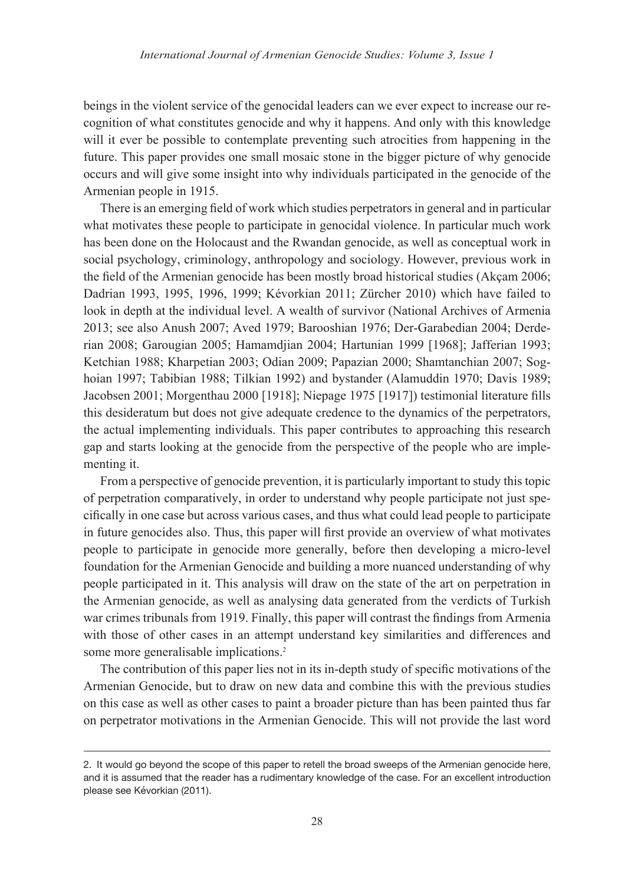beings in the violent service of the genocidal leaders can we ever expect to increase our recognition of what constitutes genocide and why it happens. And only with this knowledge will it ever be possible to contemplate preventing such atrocities from happening in the future. This paper provides one small mosaic stone in the bigger picture of why genocide occurs and will give some insight into why individuals participated in the genocide of the Armenian people in 1915.

There is an emerging field of work which studies perpetrators in general and in particular what motivates these people to participate in genocidal violence. In particular much work has been done on the Holocaust and the Rwandan genocide, as well as conceptual work in social psychology, criminology, anthropology and sociology. However, previous work in the field of the Armenian genocide has been mostly broad historical studies (Akçam 2006; Dadrian 1993, 1995, 1996, 1999; Kévorkian 2011; Zürcher 2010) which have failed to look in depth at the individual level. A wealth of survivor (National Archives of Armenia 2013; see also Anush 2007; Aved 1979; Barooshian 1976; Der-Garabedian 2004; Derderian 2008; Garougian 2005; Hamamdjian 2004; Hartunian 1999 [1968]; Jafferian 1993; Ketchian 1988; Kharpetian 2003; Odian 2009; Papazian 2000; Shamtanchian 2007; Soghoian 1997; Tabibian 1988; Tilkian 1992) and bystander (Alamuddin 1970; Davis 1989; Jacobsen 2001; Morgenthau 2000 [1918]; Niepage 1975 [1917]) testimonial literature fills this desideratum but does not give adequate credence to the dynamics of the perpetrators, the actual implementing individuals. This paper contributes to approaching this research gap and starts looking at the genocide from the perspective of the people who are implementing it.

From a perspective of genocide prevention, it is particularly important to study this topic of perpetration comparatively, in order to understand why people participate not just specifically in one case but across various cases, and thus what could lead people to participate in future genocides also. Thus, this paper will first provide an overview of what motivates people to participate in genocide more generally, before then developing a micro-level foundation for the Armenian Genocide and building a more nuanced understanding of why people participated in it. This analysis will draw on the state of the art on perpetration in the Armenian genocide, as well as analysing data generated from the verdicts of Turkish war crimes tribunals from 1919. Finally, this paper will contrast the findings from Armenia with those of other cases in an attempt understand key similarities and differences and some more generalisable implications.<sup>2</sup>

The contribution of this paper lies not in its in-depth study of specific motivations of the Armenian Genocide, but to draw on new data and combine this with the previous studies on this case as well as other cases to paint a broader picture than has been painted thus far on perpetrator motivations in the Armenian Genocide. This will not provide the last word

<sup>2.</sup> It would go beyond the scope of this paper to retell the broad sweeps of the Armenian genocide here, and it is assumed that the reader has a rudimentary knowledge of the case. For an excellent introduction please see Kévorkian (2011).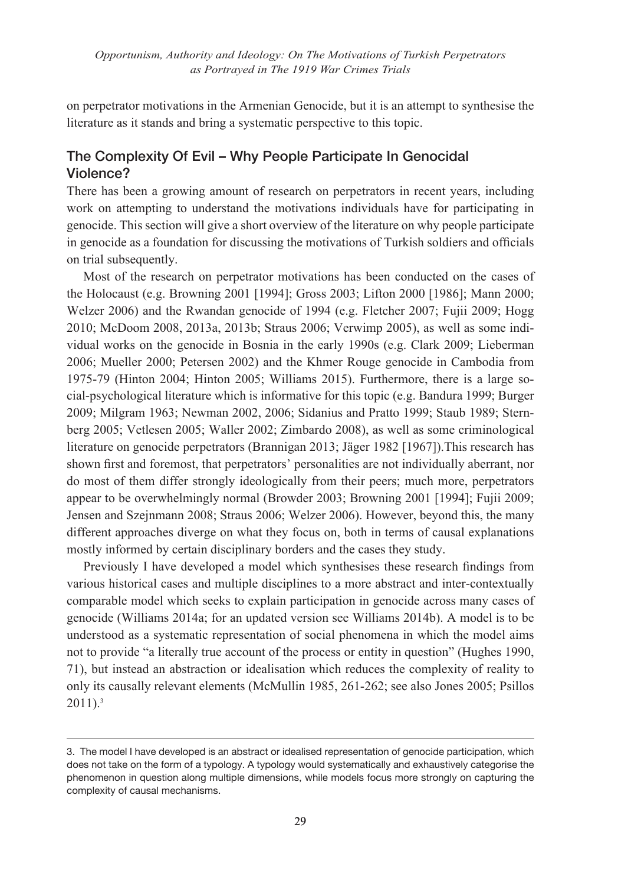on perpetrator motivations in the Armenian Genocide, but it is an attempt to synthesise the literature as it stands and bring a systematic perspective to this topic.

# The Complexity Of Evil – Why People Participate In Genocidal Violence?

There has been a growing amount of research on perpetrators in recent years, including work on attempting to understand the motivations individuals have for participating in genocide. This section will give a short overview of the literature on why people participate in genocide as a foundation for discussing the motivations of Turkish soldiers and officials on trial subsequently.

Most of the research on perpetrator motivations has been conducted on the cases of the Holocaust (e.g. Browning 2001 [1994]; Gross 2003; Lifton 2000 [1986]; Mann 2000; Welzer 2006) and the Rwandan genocide of 1994 (e.g. Fletcher 2007; Fujii 2009; Hogg 2010; McDoom 2008, 2013a, 2013b; Straus 2006; Verwimp 2005), as well as some individual works on the genocide in Bosnia in the early 1990s (e.g. Clark 2009; Lieberman 2006; Mueller 2000; Petersen 2002) and the Khmer Rouge genocide in Cambodia from 1975-79 (Hinton 2004; Hinton 2005; Williams 2015). Furthermore, there is a large social-psychological literature which is informative for this topic (e.g. Bandura 1999; Burger 2009; Milgram 1963; Newman 2002, 2006; Sidanius and Pratto 1999; Staub 1989; Sternberg 2005; Vetlesen 2005; Waller 2002; Zimbardo 2008), as well as some criminological literature on genocide perpetrators (Brannigan 2013; Jäger 1982 [1967]).This research has shown first and foremost, that perpetrators' personalities are not individually aberrant, nor do most of them differ strongly ideologically from their peers; much more, perpetrators appear to be overwhelmingly normal (Browder 2003; Browning 2001 [1994]; Fujii 2009; Jensen and Szejnmann 2008; Straus 2006; Welzer 2006). However, beyond this, the many different approaches diverge on what they focus on, both in terms of causal explanations mostly informed by certain disciplinary borders and the cases they study.

Previously I have developed a model which synthesises these research findings from various historical cases and multiple disciplines to a more abstract and inter-contextually comparable model which seeks to explain participation in genocide across many cases of genocide (Williams 2014a; for an updated version see Williams 2014b). A model is to be understood as a systematic representation of social phenomena in which the model aims not to provide "a literally true account of the process or entity in question" (Hughes 1990, 71), but instead an abstraction or idealisation which reduces the complexity of reality to only its causally relevant elements (McMullin 1985, 261-262; see also Jones 2005; Psillos 2011).3

<sup>3.</sup> The model I have developed is an abstract or idealised representation of genocide participation, which does not take on the form of a typology. A typology would systematically and exhaustively categorise the phenomenon in question along multiple dimensions, while models focus more strongly on capturing the complexity of causal mechanisms.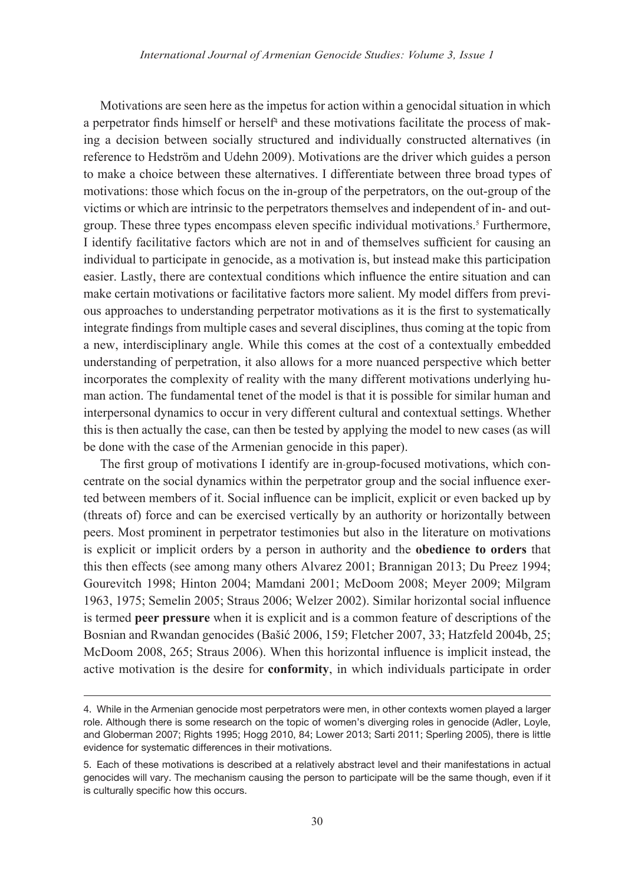Motivations are seen here as the impetus for action within a genocidal situation in which a perpetrator finds himself or herself<sup>4</sup> and these motivations facilitate the process of making a decision between socially structured and individually constructed alternatives (in reference to Hedström and Udehn 2009). Motivations are the driver which guides a person to make a choice between these alternatives. I differentiate between three broad types of motivations: those which focus on the in-group of the perpetrators, on the out-group of the victims or which are intrinsic to the perpetrators themselves and independent of in- and outgroup. These three types encompass eleven specific individual motivations.<sup>5</sup> Furthermore, I identify facilitative factors which are not in and of themselves sufficient for causing an individual to participate in genocide, as a motivation is, but instead make this participation easier. Lastly, there are contextual conditions which influence the entire situation and can make certain motivations or facilitative factors more salient. My model differs from previous approaches to understanding perpetrator motivations as it is the first to systematically integrate findings from multiple cases and several disciplines, thus coming at the topic from a new, interdisciplinary angle. While this comes at the cost of a contextually embedded understanding of perpetration, it also allows for a more nuanced perspective which better incorporates the complexity of reality with the many different motivations underlying human action. The fundamental tenet of the model is that it is possible for similar human and interpersonal dynamics to occur in very different cultural and contextual settings. Whether this is then actually the case, can then be tested by applying the model to new cases (as will be done with the case of the Armenian genocide in this paper).

The first group of motivations I identify are in-group-focused motivations, which concentrate on the social dynamics within the perpetrator group and the social influence exerted between members of it. Social influence can be implicit, explicit or even backed up by (threats of) force and can be exercised vertically by an authority or horizontally between peers. Most prominent in perpetrator testimonies but also in the literature on motivations is explicit or implicit orders by a person in authority and the **obedience to orders** that this then effects (see among many others Alvarez 2001; Brannigan 2013; Du Preez 1994; Gourevitch 1998; Hinton 2004; Mamdani 2001; McDoom 2008; Meyer 2009; Milgram 1963, 1975; Semelin 2005; Straus 2006; Welzer 2002). Similar horizontal social influence is termed **peer pressure** when it is explicit and is a common feature of descriptions of the Bosnian and Rwandan genocides (Bašić 2006, 159; Fletcher 2007, 33; Hatzfeld 2004b, 25; McDoom 2008, 265; Straus 2006). When this horizontal influence is implicit instead, the active motivation is the desire for **conformity**, in which individuals participate in order

<sup>4.</sup> While in the Armenian genocide most perpetrators were men, in other contexts women played a larger role. Although there is some research on the topic of women's diverging roles in genocide (Adler, Loyle, and Globerman 2007; Rights 1995; Hogg 2010, 84; Lower 2013; Sarti 2011; Sperling 2005), there is little evidence for systematic differences in their motivations.

<sup>5.</sup> Each of these motivations is described at a relatively abstract level and their manifestations in actual genocides will vary. The mechanism causing the person to participate will be the same though, even if it is culturally specific how this occurs.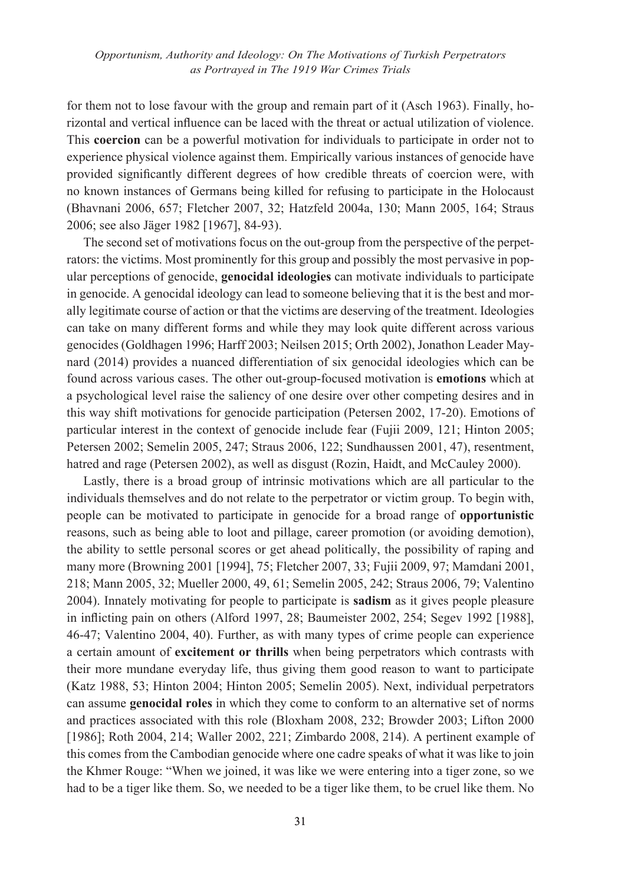for them not to lose favour with the group and remain part of it (Asch 1963). Finally, horizontal and vertical influence can be laced with the threat or actual utilization of violence. This **coercion** can be a powerful motivation for individuals to participate in order not to experience physical violence against them. Empirically various instances of genocide have provided significantly different degrees of how credible threats of coercion were, with no known instances of Germans being killed for refusing to participate in the Holocaust (Bhavnani 2006, 657; Fletcher 2007, 32; Hatzfeld 2004a, 130; Mann 2005, 164; Straus 2006; see also Jäger 1982 [1967], 84-93).

The second set of motivations focus on the out-group from the perspective of the perpetrators: the victims. Most prominently for this group and possibly the most pervasive in popular perceptions of genocide, **genocidal ideologies** can motivate individuals to participate in genocide. A genocidal ideology can lead to someone believing that it is the best and morally legitimate course of action or that the victims are deserving of the treatment. Ideologies can take on many different forms and while they may look quite different across various genocides (Goldhagen 1996; Harff 2003; Neilsen 2015; Orth 2002), Jonathon Leader Maynard (2014) provides a nuanced differentiation of six genocidal ideologies which can be found across various cases. The other out-group-focused motivation is **emotions** which at a psychological level raise the saliency of one desire over other competing desires and in this way shift motivations for genocide participation (Petersen 2002, 17-20). Emotions of particular interest in the context of genocide include fear (Fujii 2009, 121; Hinton 2005; Petersen 2002; Semelin 2005, 247; Straus 2006, 122; Sundhaussen 2001, 47), resentment, hatred and rage (Petersen 2002), as well as disgust (Rozin, Haidt, and McCauley 2000).

Lastly, there is a broad group of intrinsic motivations which are all particular to the individuals themselves and do not relate to the perpetrator or victim group. To begin with, people can be motivated to participate in genocide for a broad range of **opportunistic** reasons, such as being able to loot and pillage, career promotion (or avoiding demotion), the ability to settle personal scores or get ahead politically, the possibility of raping and many more (Browning 2001 [1994], 75; Fletcher 2007, 33; Fujii 2009, 97; Mamdani 2001, 218; Mann 2005, 32; Mueller 2000, 49, 61; Semelin 2005, 242; Straus 2006, 79; Valentino 2004). Innately motivating for people to participate is **sadism** as it gives people pleasure in inflicting pain on others (Alford 1997, 28; Baumeister 2002, 254; Segev 1992 [1988], 46-47; Valentino 2004, 40). Further, as with many types of crime people can experience a certain amount of **excitement or thrills** when being perpetrators which contrasts with their more mundane everyday life, thus giving them good reason to want to participate (Katz 1988, 53; Hinton 2004; Hinton 2005; Semelin 2005). Next, individual perpetrators can assume **genocidal roles** in which they come to conform to an alternative set of norms and practices associated with this role (Bloxham 2008, 232; Browder 2003; Lifton 2000 [1986]; Roth 2004, 214; Waller 2002, 221; Zimbardo 2008, 214). A pertinent example of this comes from the Cambodian genocide where one cadre speaks of what it was like to join the Khmer Rouge: "When we joined, it was like we were entering into a tiger zone, so we had to be a tiger like them. So, we needed to be a tiger like them, to be cruel like them. No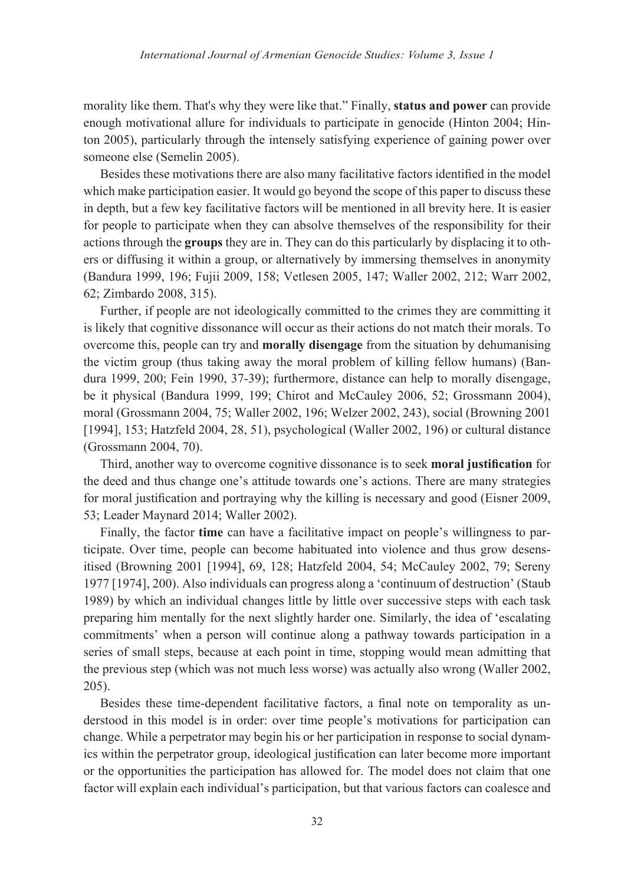morality like them. That's why they were like that." Finally, **status and power** can provide enough motivational allure for individuals to participate in genocide (Hinton 2004; Hinton 2005), particularly through the intensely satisfying experience of gaining power over someone else (Semelin 2005).

Besides these motivations there are also many facilitative factors identified in the model which make participation easier. It would go beyond the scope of this paper to discuss these in depth, but a few key facilitative factors will be mentioned in all brevity here. It is easier for people to participate when they can absolve themselves of the responsibility for their actions through the **groups** they are in. They can do this particularly by displacing it to others or diffusing it within a group, or alternatively by immersing themselves in anonymity (Bandura 1999, 196; Fujii 2009, 158; Vetlesen 2005, 147; Waller 2002, 212; Warr 2002, 62; Zimbardo 2008, 315).

Further, if people are not ideologically committed to the crimes they are committing it is likely that cognitive dissonance will occur as their actions do not match their morals. To overcome this, people can try and **morally disengage** from the situation by dehumanising the victim group (thus taking away the moral problem of killing fellow humans) (Bandura 1999, 200; Fein 1990, 37-39); furthermore, distance can help to morally disengage, be it physical (Bandura 1999, 199; Chirot and McCauley 2006, 52; Grossmann 2004), moral (Grossmann 2004, 75; Waller 2002, 196; Welzer 2002, 243), social (Browning 2001 [1994], 153; Hatzfeld 2004, 28, 51), psychological (Waller 2002, 196) or cultural distance (Grossmann 2004, 70).

Third, another way to overcome cognitive dissonance is to seek **moral justification** for the deed and thus change one's attitude towards one's actions. There are many strategies for moral justification and portraying why the killing is necessary and good (Eisner 2009, 53; Leader Maynard 2014; Waller 2002).

Finally, the factor **time** can have a facilitative impact on people's willingness to participate. Over time, people can become habituated into violence and thus grow desensitised (Browning 2001 [1994], 69, 128; Hatzfeld 2004, 54; McCauley 2002, 79; Sereny 1977 [1974], 200). Also individuals can progress along a 'continuum of destruction' (Staub 1989) by which an individual changes little by little over successive steps with each task preparing him mentally for the next slightly harder one. Similarly, the idea of 'escalating commitments' when a person will continue along a pathway towards participation in a series of small steps, because at each point in time, stopping would mean admitting that the previous step (which was not much less worse) was actually also wrong (Waller 2002, 205).

Besides these time-dependent facilitative factors, a final note on temporality as understood in this model is in order: over time people's motivations for participation can change. While a perpetrator may begin his or her participation in response to social dynamics within the perpetrator group, ideological justification can later become more important or the opportunities the participation has allowed for. The model does not claim that one factor will explain each individual's participation, but that various factors can coalesce and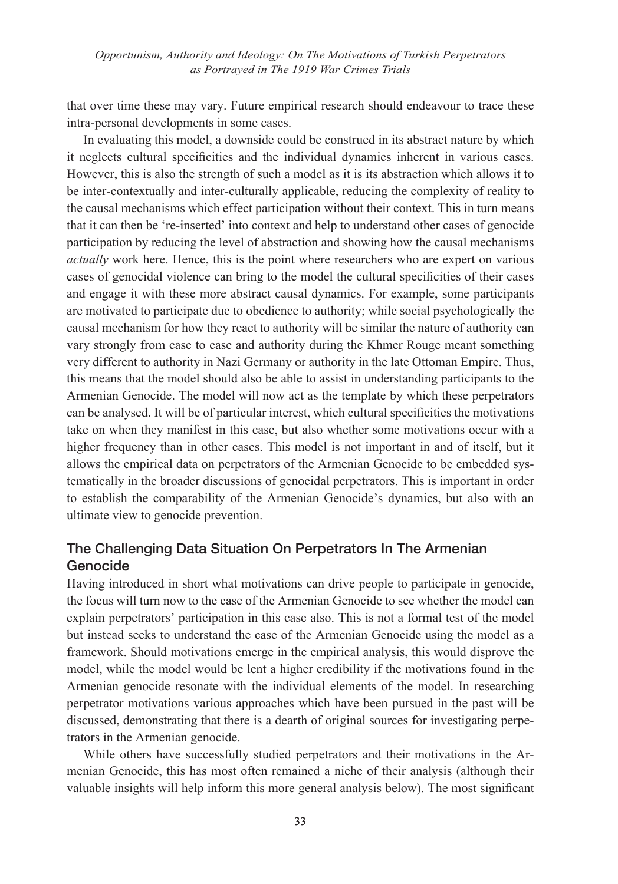that over time these may vary. Future empirical research should endeavour to trace these intra-personal developments in some cases.

In evaluating this model, a downside could be construed in its abstract nature by which it neglects cultural specificities and the individual dynamics inherent in various cases. However, this is also the strength of such a model as it is its abstraction which allows it to be inter-contextually and inter-culturally applicable, reducing the complexity of reality to the causal mechanisms which effect participation without their context. This in turn means that it can then be 're-inserted' into context and help to understand other cases of genocide participation by reducing the level of abstraction and showing how the causal mechanisms *actually* work here. Hence, this is the point where researchers who are expert on various cases of genocidal violence can bring to the model the cultural specificities of their cases and engage it with these more abstract causal dynamics. For example, some participants are motivated to participate due to obedience to authority; while social psychologically the causal mechanism for how they react to authority will be similar the nature of authority can vary strongly from case to case and authority during the Khmer Rouge meant something very different to authority in Nazi Germany or authority in the late Ottoman Empire. Thus, this means that the model should also be able to assist in understanding participants to the Armenian Genocide. The model will now act as the template by which these perpetrators can be analysed. It will be of particular interest, which cultural specificities the motivations take on when they manifest in this case, but also whether some motivations occur with a higher frequency than in other cases. This model is not important in and of itself, but it allows the empirical data on perpetrators of the Armenian Genocide to be embedded systematically in the broader discussions of genocidal perpetrators. This is important in order to establish the comparability of the Armenian Genocide's dynamics, but also with an ultimate view to genocide prevention.

# The Challenging Data Situation On Perpetrators In The Armenian Genocide

Having introduced in short what motivations can drive people to participate in genocide, the focus will turn now to the case of the Armenian Genocide to see whether the model can explain perpetrators' participation in this case also. This is not a formal test of the model but instead seeks to understand the case of the Armenian Genocide using the model as a framework. Should motivations emerge in the empirical analysis, this would disprove the model, while the model would be lent a higher credibility if the motivations found in the Armenian genocide resonate with the individual elements of the model. In researching perpetrator motivations various approaches which have been pursued in the past will be discussed, demonstrating that there is a dearth of original sources for investigating perpetrators in the Armenian genocide.

While others have successfully studied perpetrators and their motivations in the Armenian Genocide, this has most often remained a niche of their analysis (although their valuable insights will help inform this more general analysis below). The most significant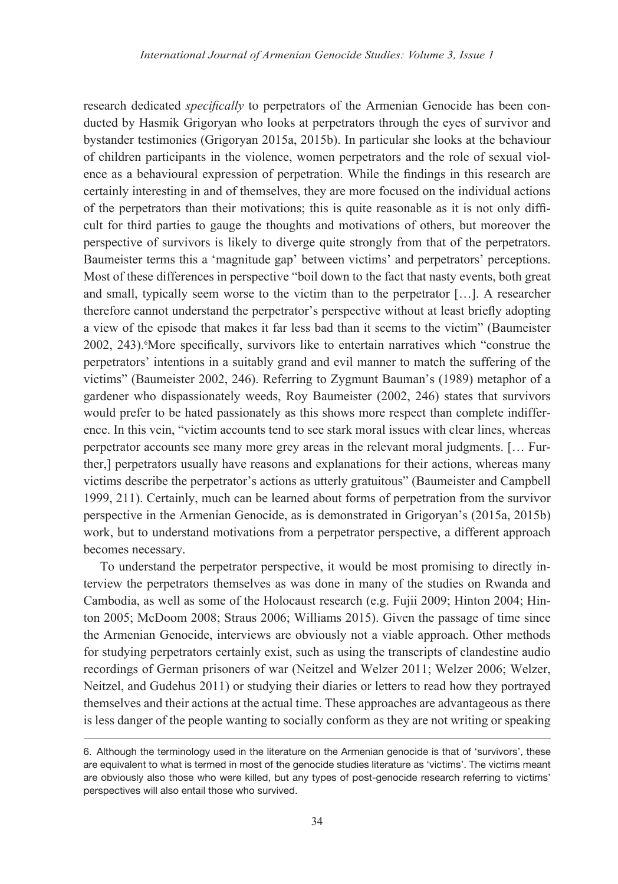research dedicated *specifically* to perpetrators of the Armenian Genocide has been conducted by Hasmik Grigoryan who looks at perpetrators through the eyes of survivor and bystander testimonies (Grigoryan 2015a, 2015b). In particular she looks at the behaviour of children participants in the violence, women perpetrators and the role of sexual violence as a behavioural expression of perpetration. While the findings in this research are certainly interesting in and of themselves, they are more focused on the individual actions of the perpetrators than their motivations; this is quite reasonable as it is not only difficult for third parties to gauge the thoughts and motivations of others, but moreover the perspective of survivors is likely to diverge quite strongly from that of the perpetrators. Baumeister terms this a 'magnitude gap' between victims' and perpetrators' perceptions. Most of these differences in perspective "boil down to the fact that nasty events, both great and small, typically seem worse to the victim than to the perpetrator […]. A researcher therefore cannot understand the perpetrator's perspective without at least briefly adopting a view of the episode that makes it far less bad than it seems to the victim" (Baumeister 2002, 243). More specifically, survivors like to entertain narratives which "construe the perpetrators' intentions in a suitably grand and evil manner to match the suffering of the victims" (Baumeister 2002, 246). Referring to Zygmunt Bauman's (1989) metaphor of a gardener who dispassionately weeds, Roy Baumeister (2002, 246) states that survivors would prefer to be hated passionately as this shows more respect than complete indifference. In this vein, "victim accounts tend to see stark moral issues with clear lines, whereas perpetrator accounts see many more grey areas in the relevant moral judgments. [… Further,] perpetrators usually have reasons and explanations for their actions, whereas many victims describe the perpetrator's actions as utterly gratuitous" (Baumeister and Campbell 1999, 211). Certainly, much can be learned about forms of perpetration from the survivor perspective in the Armenian Genocide, as is demonstrated in Grigoryan's (2015a, 2015b) work, but to understand motivations from a perpetrator perspective, a different approach becomes necessary.

To understand the perpetrator perspective, it would be most promising to directly interview the perpetrators themselves as was done in many of the studies on Rwanda and Cambodia, as well as some of the Holocaust research (e.g. Fujii 2009; Hinton 2004; Hinton 2005; McDoom 2008; Straus 2006; Williams 2015). Given the passage of time since the Armenian Genocide, interviews are obviously not a viable approach. Other methods for studying perpetrators certainly exist, such as using the transcripts of clandestine audio recordings of German prisoners of war (Neitzel and Welzer 2011; Welzer 2006; Welzer, Neitzel, and Gudehus 2011) or studying their diaries or letters to read how they portrayed themselves and their actions at the actual time. These approaches are advantageous as there is less danger of the people wanting to socially conform as they are not writing or speaking

<sup>6.</sup> Although the terminology used in the literature on the Armenian genocide is that of 'survivors', these are equivalent to what is termed in most of the genocide studies literature as 'victims'. The victims meant are obviously also those who were killed, but any types of post-genocide research referring to victims' perspectives will also entail those who survived.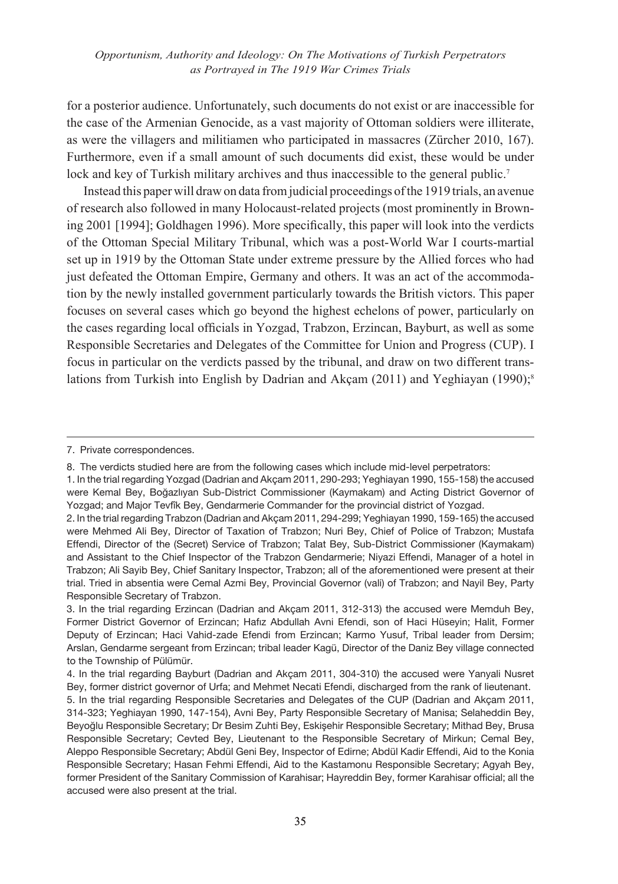for a posterior audience. Unfortunately, such documents do not exist or are inaccessible for the case of the Armenian Genocide, as a vast majority of Ottoman soldiers were illiterate, as were the villagers and militiamen who participated in massacres (Zürcher 2010, 167). Furthermore, even if a small amount of such documents did exist, these would be under lock and key of Turkish military archives and thus inaccessible to the general public.<sup>7</sup>

Instead this paper will draw on data from judicial proceedings of the 1919 trials, an avenue of research also followed in many Holocaust-related projects (most prominently in Browning 2001 [1994]; Goldhagen 1996). More specifically, this paper will look into the verdicts of the Ottoman Special Military Tribunal, which was a post-World War I courts-martial set up in 1919 by the Ottoman State under extreme pressure by the Allied forces who had just defeated the Ottoman Empire, Germany and others. It was an act of the accommodation by the newly installed government particularly towards the British victors. This paper focuses on several cases which go beyond the highest echelons of power, particularly on the cases regarding local officials in Yozgad, Trabzon, Erzincan, Bayburt, as well as some Responsible Secretaries and Delegates of the Committee for Union and Progress (CUP). I focus in particular on the verdicts passed by the tribunal, and draw on two different translations from Turkish into English by Dadrian and Akcam (2011) and Yeghiayan (1990);<sup>8</sup>

<sup>7.</sup> Private correspondences.

<sup>8.</sup> The verdicts studied here are from the following cases which include mid-level perpetrators:

<sup>1.</sup> In the trial regarding Yozgad (Dadrian and Akçam 2011, 290-293; Yeghiayan 1990, 155-158) the accused were Kemal Bey, Boğazlıyan Sub-District Commissioner (Kaymakam) and Acting District Governor of Yozgad; and Major Tevfîk Bey, Gendarmerie Commander for the provincial district of Yozgad.

<sup>2.</sup> In the trial regarding Trabzon (Dadrian and Akçam 2011, 294-299; Yeghiayan 1990, 159-165) the accused were Mehmed Ali Bey, Director of Taxation of Trabzon; Nuri Bey, Chief of Police of Trabzon; Mustafa Effendi, Director of the (Secret) Service of Trabzon; Talat Bey, Sub-District Commissioner (Kaymakam) and Assistant to the Chief Inspector of the Trabzon Gendarmerie; Niyazi Effendi, Manager of a hotel in Trabzon; Ali Sayib Bey, Chief Sanitary Inspector, Trabzon; all of the aforementioned were present at their trial. Tried in absentia were Cemal Azmi Bey, Provincial Governor (vali) of Trabzon; and Nayil Bey, Party Responsible Secretary of Trabzon.

<sup>3.</sup> In the trial regarding Erzincan (Dadrian and Akçam 2011, 312-313) the accused were Memduh Bey, Former District Governor of Erzincan; Hafız Abdullah Avni Efendi, son of Haci Hüseyin; Halit, Former Deputy of Erzincan; Haci Vahid-zade Efendi from Erzincan; Karmo Yusuf, Tribal leader from Dersim; Arslan, Gendarme sergeant from Erzincan; tribal leader Kagü, Director of the Daniz Bey village connected to the Township of Pülümür.

<sup>4.</sup> In the trial regarding Bayburt (Dadrian and Akçam 2011, 304-310) the accused were Yanyali Nusret Bey, former district governor of Urfa; and Mehmet Necati Efendi, discharged from the rank of lieutenant. 5. In the trial regarding Responsible Secretaries and Delegates of the CUP (Dadrian and Akçam 2011, 314-323; Yeghiayan 1990, 147-154), Avni Bey, Party Responsible Secretary of Manisa; Selaheddin Bey, Beyoğlu Responsible Secretary; Dr Besim Zuhti Bey, Eskişehir Responsible Secretary; Mithad Bey, Brusa Responsible Secretary; Cevted Bey, Lieutenant to the Responsible Secretary of Mirkun; Cemal Bey, Aleppo Responsible Secretary; Abdül Geni Bey, Inspector of Edirne; Abdül Kadir Effendi, Aid to the Konia Responsible Secretary; Hasan Fehmi Effendi, Aid to the Kastamonu Responsible Secretary; Agyah Bey, former President of the Sanitary Commission of Karahisar; Hayreddin Bey, former Karahisar official; all the accused were also present at the trial.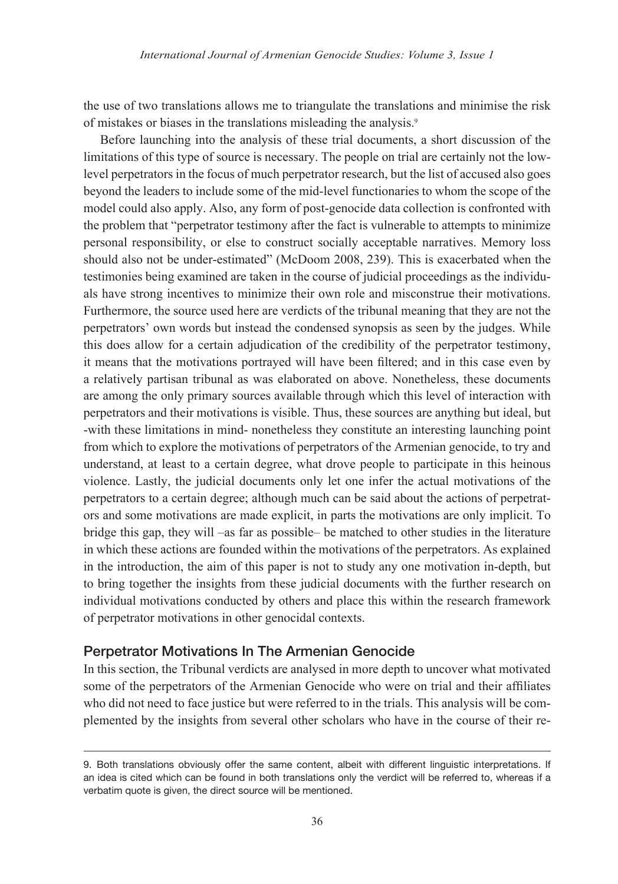the use of two translations allows me to triangulate the translations and minimise the risk of mistakes or biases in the translations misleading the analysis.9

Before launching into the analysis of these trial documents, a short discussion of the limitations of this type of source is necessary. The people on trial are certainly not the lowlevel perpetrators in the focus of much perpetrator research, but the list of accused also goes beyond the leaders to include some of the mid-level functionaries to whom the scope of the model could also apply. Also, any form of post-genocide data collection is confronted with the problem that "perpetrator testimony after the fact is vulnerable to attempts to minimize personal responsibility, or else to construct socially acceptable narratives. Memory loss should also not be under-estimated" (McDoom 2008, 239). This is exacerbated when the testimonies being examined are taken in the course of judicial proceedings as the individuals have strong incentives to minimize their own role and misconstrue their motivations. Furthermore, the source used here are verdicts of the tribunal meaning that they are not the perpetrators' own words but instead the condensed synopsis as seen by the judges. While this does allow for a certain adjudication of the credibility of the perpetrator testimony, it means that the motivations portrayed will have been filtered; and in this case even by a relatively partisan tribunal as was elaborated on above. Nonetheless, these documents are among the only primary sources available through which this level of interaction with perpetrators and their motivations is visible. Thus, these sources are anything but ideal, but -with these limitations in mind- nonetheless they constitute an interesting launching point from which to explore the motivations of perpetrators of the Armenian genocide, to try and understand, at least to a certain degree, what drove people to participate in this heinous violence. Lastly, the judicial documents only let one infer the actual motivations of the perpetrators to a certain degree; although much can be said about the actions of perpetrators and some motivations are made explicit, in parts the motivations are only implicit. To bridge this gap, they will –as far as possible– be matched to other studies in the literature in which these actions are founded within the motivations of the perpetrators. As explained in the introduction, the aim of this paper is not to study any one motivation in-depth, but to bring together the insights from these judicial documents with the further research on individual motivations conducted by others and place this within the research framework of perpetrator motivations in other genocidal contexts.

# Perpetrator Motivations In The Armenian Genocide

In this section, the Tribunal verdicts are analysed in more depth to uncover what motivated some of the perpetrators of the Armenian Genocide who were on trial and their affiliates who did not need to face justice but were referred to in the trials. This analysis will be complemented by the insights from several other scholars who have in the course of their re-

<sup>9.</sup> Both translations obviously offer the same content, albeit with different linguistic interpretations. If an idea is cited which can be found in both translations only the verdict will be referred to, whereas if a verbatim quote is given, the direct source will be mentioned.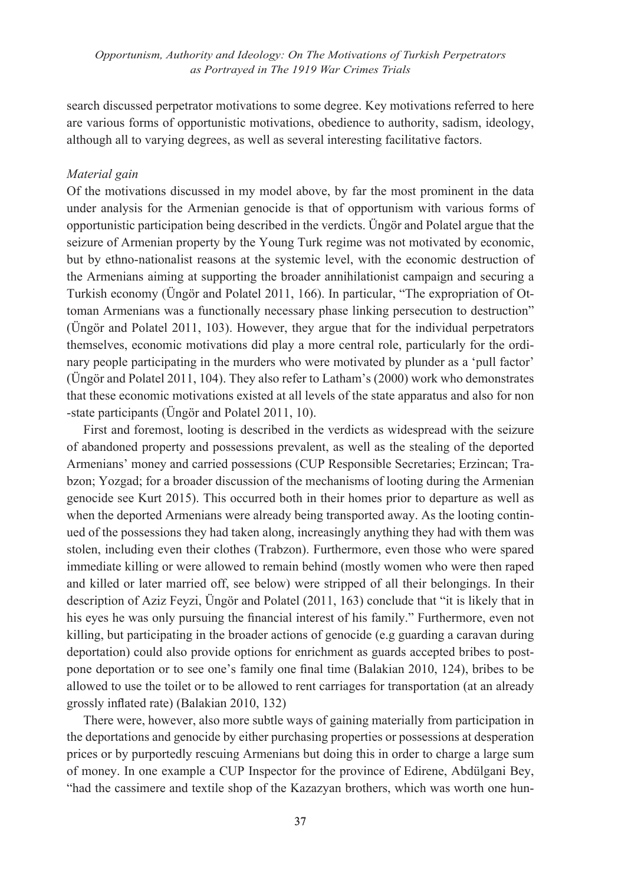search discussed perpetrator motivations to some degree. Key motivations referred to here are various forms of opportunistic motivations, obedience to authority, sadism, ideology, although all to varying degrees, as well as several interesting facilitative factors.

#### *Material gain*

Of the motivations discussed in my model above, by far the most prominent in the data under analysis for the Armenian genocide is that of opportunism with various forms of opportunistic participation being described in the verdicts. Üngör and Polatel argue that the seizure of Armenian property by the Young Turk regime was not motivated by economic, but by ethno-nationalist reasons at the systemic level, with the economic destruction of the Armenians aiming at supporting the broader annihilationist campaign and securing a Turkish economy (Üngör and Polatel 2011, 166). In particular, "The expropriation of Ottoman Armenians was a functionally necessary phase linking persecution to destruction" (Üngör and Polatel 2011, 103). However, they argue that for the individual perpetrators themselves, economic motivations did play a more central role, particularly for the ordinary people participating in the murders who were motivated by plunder as a 'pull factor' (Üngör and Polatel 2011, 104). They also refer to Latham's (2000) work who demonstrates that these economic motivations existed at all levels of the state apparatus and also for non -state participants (Üngör and Polatel 2011, 10).

First and foremost, looting is described in the verdicts as widespread with the seizure of abandoned property and possessions prevalent, as well as the stealing of the deported Armenians' money and carried possessions (CUP Responsible Secretaries; Erzincan; Trabzon; Yozgad; for a broader discussion of the mechanisms of looting during the Armenian genocide see Kurt 2015). This occurred both in their homes prior to departure as well as when the deported Armenians were already being transported away. As the looting continued of the possessions they had taken along, increasingly anything they had with them was stolen, including even their clothes (Trabzon). Furthermore, even those who were spared immediate killing or were allowed to remain behind (mostly women who were then raped and killed or later married off, see below) were stripped of all their belongings. In their description of Aziz Feyzi, Üngör and Polatel (2011, 163) conclude that "it is likely that in his eyes he was only pursuing the financial interest of his family." Furthermore, even not killing, but participating in the broader actions of genocide (e.g guarding a caravan during deportation) could also provide options for enrichment as guards accepted bribes to postpone deportation or to see one's family one final time (Balakian 2010, 124), bribes to be allowed to use the toilet or to be allowed to rent carriages for transportation (at an already grossly inflated rate) (Balakian 2010, 132)

There were, however, also more subtle ways of gaining materially from participation in the deportations and genocide by either purchasing properties or possessions at desperation prices or by purportedly rescuing Armenians but doing this in order to charge a large sum of money. In one example a CUP Inspector for the province of Edirene, Abdülgani Bey, "had the cassimere and textile shop of the Kazazyan brothers, which was worth one hun-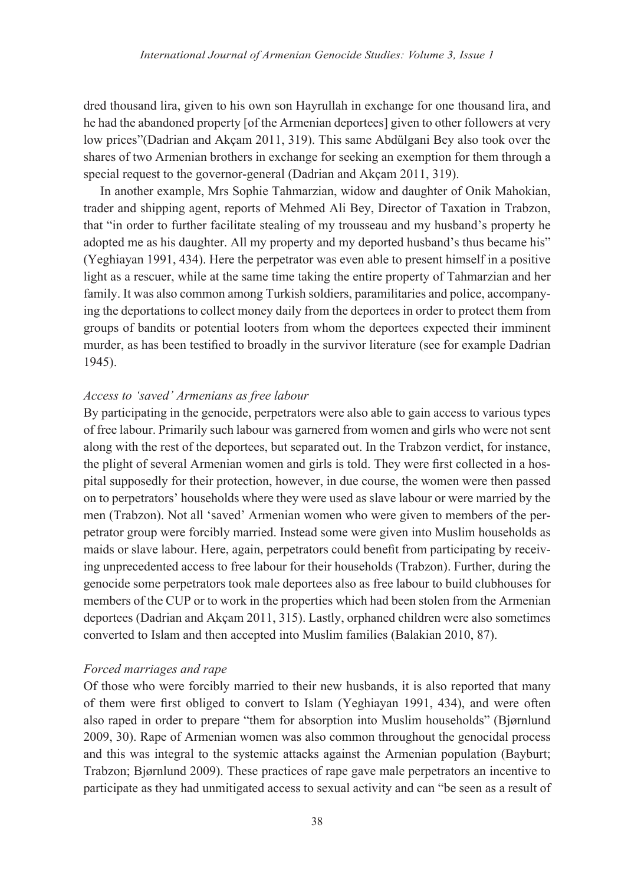dred thousand lira, given to his own son Hayrullah in exchange for one thousand lira, and he had the abandoned property [of the Armenian deportees] given to other followers at very low prices"(Dadrian and Akçam 2011, 319). This same Abdülgani Bey also took over the shares of two Armenian brothers in exchange for seeking an exemption for them through a special request to the governor-general (Dadrian and Akçam 2011, 319).

In another example, Mrs Sophie Tahmarzian, widow and daughter of Onik Mahokian, trader and shipping agent, reports of Mehmed Ali Bey, Director of Taxation in Trabzon, that "in order to further facilitate stealing of my trousseau and my husband's property he adopted me as his daughter. All my property and my deported husband's thus became his" (Yeghiayan 1991, 434). Here the perpetrator was even able to present himself in a positive light as a rescuer, while at the same time taking the entire property of Tahmarzian and her family. It was also common among Turkish soldiers, paramilitaries and police, accompanying the deportations to collect money daily from the deportees in order to protect them from groups of bandits or potential looters from whom the deportees expected their imminent murder, as has been testified to broadly in the survivor literature (see for example Dadrian 1945).

#### *Access to 'saved' Armenians as free labour*

By participating in the genocide, perpetrators were also able to gain access to various types of free labour. Primarily such labour was garnered from women and girls who were not sent along with the rest of the deportees, but separated out. In the Trabzon verdict, for instance, the plight of several Armenian women and girls is told. They were first collected in a hospital supposedly for their protection, however, in due course, the women were then passed on to perpetrators' households where they were used as slave labour or were married by the men (Trabzon). Not all 'saved' Armenian women who were given to members of the perpetrator group were forcibly married. Instead some were given into Muslim households as maids or slave labour. Here, again, perpetrators could benefit from participating by receiving unprecedented access to free labour for their households (Trabzon). Further, during the genocide some perpetrators took male deportees also as free labour to build clubhouses for members of the CUP or to work in the properties which had been stolen from the Armenian deportees (Dadrian and Akçam 2011, 315). Lastly, orphaned children were also sometimes converted to Islam and then accepted into Muslim families (Balakian 2010, 87).

#### *Forced marriages and rape*

Of those who were forcibly married to their new husbands, it is also reported that many of them were first obliged to convert to Islam (Yeghiayan 1991, 434), and were often also raped in order to prepare "them for absorption into Muslim households" (Bjørnlund 2009, 30). Rape of Armenian women was also common throughout the genocidal process and this was integral to the systemic attacks against the Armenian population (Bayburt; Trabzon; Bjørnlund 2009). These practices of rape gave male perpetrators an incentive to participate as they had unmitigated access to sexual activity and can "be seen as a result of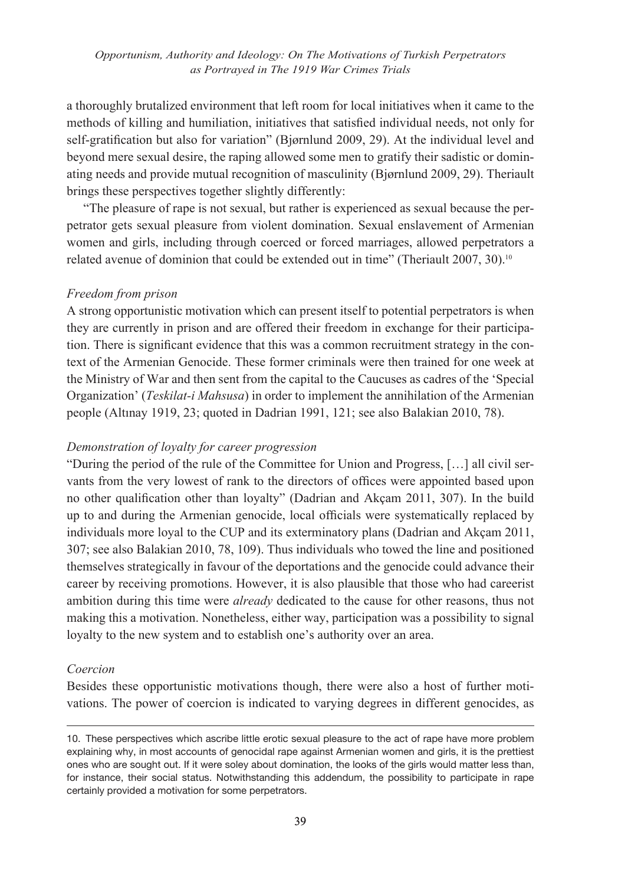a thoroughly brutalized environment that left room for local initiatives when it came to the methods of killing and humiliation, initiatives that satisfied individual needs, not only for self-gratification but also for variation" (Bjørnlund 2009, 29). At the individual level and beyond mere sexual desire, the raping allowed some men to gratify their sadistic or dominating needs and provide mutual recognition of masculinity (Bjørnlund 2009, 29). Theriault brings these perspectives together slightly differently:

"The pleasure of rape is not sexual, but rather is experienced as sexual because the perpetrator gets sexual pleasure from violent domination. Sexual enslavement of Armenian women and girls, including through coerced or forced marriages, allowed perpetrators a related avenue of dominion that could be extended out in time" (Theriault 2007, 30).10

#### *Freedom from prison*

A strong opportunistic motivation which can present itself to potential perpetrators is when they are currently in prison and are offered their freedom in exchange for their participation. There is significant evidence that this was a common recruitment strategy in the context of the Armenian Genocide. These former criminals were then trained for one week at the Ministry of War and then sent from the capital to the Caucuses as cadres of the 'Special Organization' (*Teskilat-i Mahsusa*) in order to implement the annihilation of the Armenian people (Altınay 1919, 23; quoted in Dadrian 1991, 121; see also Balakian 2010, 78).

#### *Demonstration of loyalty for career progression*

"During the period of the rule of the Committee for Union and Progress, […] all civil servants from the very lowest of rank to the directors of offices were appointed based upon no other qualification other than loyalty" (Dadrian and Akçam 2011, 307). In the build up to and during the Armenian genocide, local officials were systematically replaced by individuals more loyal to the CUP and its exterminatory plans (Dadrian and Akçam 2011, 307; see also Balakian 2010, 78, 109). Thus individuals who towed the line and positioned themselves strategically in favour of the deportations and the genocide could advance their career by receiving promotions. However, it is also plausible that those who had careerist ambition during this time were *already* dedicated to the cause for other reasons, thus not making this a motivation. Nonetheless, either way, participation was a possibility to signal loyalty to the new system and to establish one's authority over an area.

#### *Coercion*

Besides these opportunistic motivations though, there were also a host of further motivations. The power of coercion is indicated to varying degrees in different genocides, as

<sup>10.</sup> These perspectives which ascribe little erotic sexual pleasure to the act of rape have more problem explaining why, in most accounts of genocidal rape against Armenian women and girls, it is the prettiest ones who are sought out. If it were soley about domination, the looks of the girls would matter less than, for instance, their social status. Notwithstanding this addendum, the possibility to participate in rape certainly provided a motivation for some perpetrators.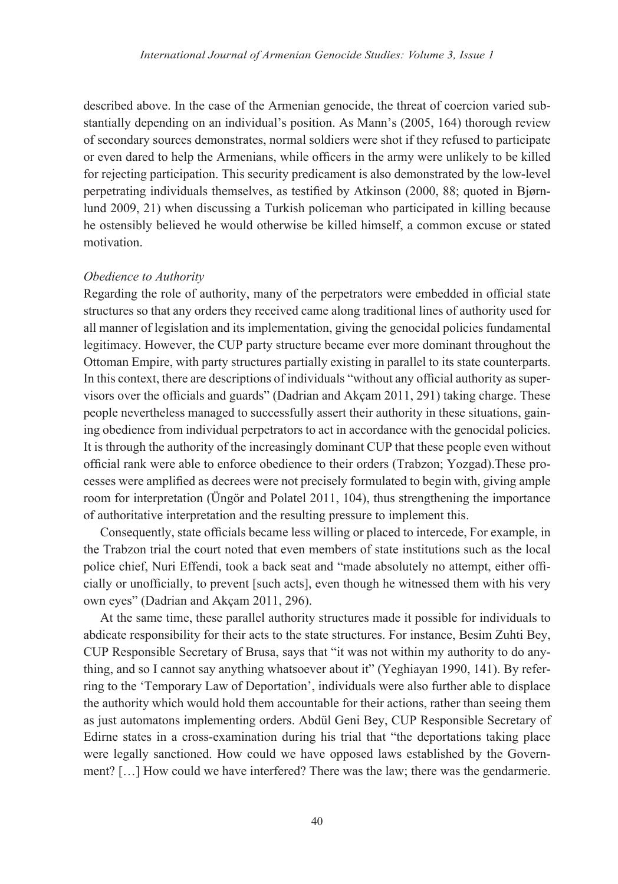described above. In the case of the Armenian genocide, the threat of coercion varied substantially depending on an individual's position. As Mann's (2005, 164) thorough review of secondary sources demonstrates, normal soldiers were shot if they refused to participate or even dared to help the Armenians, while officers in the army were unlikely to be killed for rejecting participation. This security predicament is also demonstrated by the low-level perpetrating individuals themselves, as testified by Atkinson (2000, 88; quoted in Bjørnlund 2009, 21) when discussing a Turkish policeman who participated in killing because he ostensibly believed he would otherwise be killed himself, a common excuse or stated motivation.

#### *Obedience to Authority*

Regarding the role of authority, many of the perpetrators were embedded in official state structures so that any orders they received came along traditional lines of authority used for all manner of legislation and its implementation, giving the genocidal policies fundamental legitimacy. However, the CUP party structure became ever more dominant throughout the Ottoman Empire, with party structures partially existing in parallel to its state counterparts. In this context, there are descriptions of individuals "without any official authority as supervisors over the officials and guards" (Dadrian and Akçam 2011, 291) taking charge. These people nevertheless managed to successfully assert their authority in these situations, gaining obedience from individual perpetrators to act in accordance with the genocidal policies. It is through the authority of the increasingly dominant CUP that these people even without official rank were able to enforce obedience to their orders (Trabzon; Yozgad).These processes were amplified as decrees were not precisely formulated to begin with, giving ample room for interpretation (Üngör and Polatel 2011, 104), thus strengthening the importance of authoritative interpretation and the resulting pressure to implement this.

Consequently, state officials became less willing or placed to intercede, For example, in the Trabzon trial the court noted that even members of state institutions such as the local police chief, Nuri Effendi, took a back seat and "made absolutely no attempt, either officially or unofficially, to prevent [such acts], even though he witnessed them with his very own eyes" (Dadrian and Akçam 2011, 296).

At the same time, these parallel authority structures made it possible for individuals to abdicate responsibility for their acts to the state structures. For instance, Besim Zuhti Bey, CUP Responsible Secretary of Brusa, says that "it was not within my authority to do anything, and so I cannot say anything whatsoever about it" (Yeghiayan 1990, 141). By referring to the 'Temporary Law of Deportation', individuals were also further able to displace the authority which would hold them accountable for their actions, rather than seeing them as just automatons implementing orders. Abdül Geni Bey, CUP Responsible Secretary of Edirne states in a cross-examination during his trial that "the deportations taking place were legally sanctioned. How could we have opposed laws established by the Government? […] How could we have interfered? There was the law; there was the gendarmerie.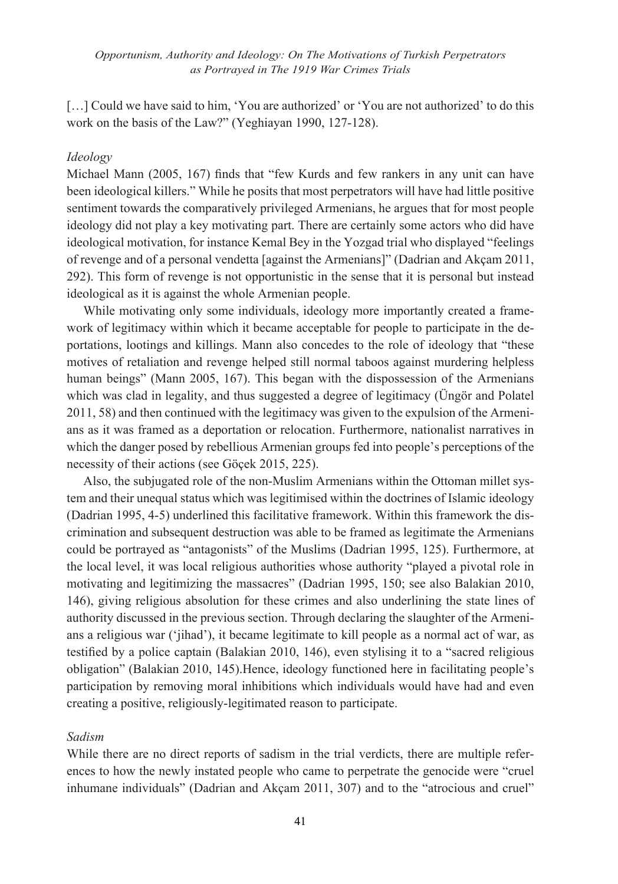[...] Could we have said to him, 'You are authorized' or 'You are not authorized' to do this work on the basis of the Law?" (Yeghiayan 1990, 127-128).

#### *Ideology*

Michael Mann (2005, 167) finds that "few Kurds and few rankers in any unit can have been ideological killers." While he posits that most perpetrators will have had little positive sentiment towards the comparatively privileged Armenians, he argues that for most people ideology did not play a key motivating part. There are certainly some actors who did have ideological motivation, for instance Kemal Bey in the Yozgad trial who displayed "feelings of revenge and of a personal vendetta [against the Armenians]" (Dadrian and Akçam 2011, 292). This form of revenge is not opportunistic in the sense that it is personal but instead ideological as it is against the whole Armenian people.

While motivating only some individuals, ideology more importantly created a framework of legitimacy within which it became acceptable for people to participate in the deportations, lootings and killings. Mann also concedes to the role of ideology that "these motives of retaliation and revenge helped still normal taboos against murdering helpless human beings" (Mann 2005, 167). This began with the dispossession of the Armenians which was clad in legality, and thus suggested a degree of legitimacy (Üngör and Polatel 2011, 58) and then continued with the legitimacy was given to the expulsion of the Armenians as it was framed as a deportation or relocation. Furthermore, nationalist narratives in which the danger posed by rebellious Armenian groups fed into people's perceptions of the necessity of their actions (see Göçek 2015, 225).

Also, the subjugated role of the non-Muslim Armenians within the Ottoman millet system and their unequal status which was legitimised within the doctrines of Islamic ideology (Dadrian 1995, 4-5) underlined this facilitative framework. Within this framework the discrimination and subsequent destruction was able to be framed as legitimate the Armenians could be portrayed as "antagonists" of the Muslims (Dadrian 1995, 125). Furthermore, at the local level, it was local religious authorities whose authority "played a pivotal role in motivating and legitimizing the massacres" (Dadrian 1995, 150; see also Balakian 2010, 146), giving religious absolution for these crimes and also underlining the state lines of authority discussed in the previous section. Through declaring the slaughter of the Armenians a religious war ('jihad'), it became legitimate to kill people as a normal act of war, as testified by a police captain (Balakian 2010, 146), even stylising it to a "sacred religious obligation" (Balakian 2010, 145).Hence, ideology functioned here in facilitating people's participation by removing moral inhibitions which individuals would have had and even creating a positive, religiously-legitimated reason to participate.

#### *Sadism*

While there are no direct reports of sadism in the trial verdicts, there are multiple references to how the newly instated people who came to perpetrate the genocide were "cruel inhumane individuals" (Dadrian and Akçam 2011, 307) and to the "atrocious and cruel"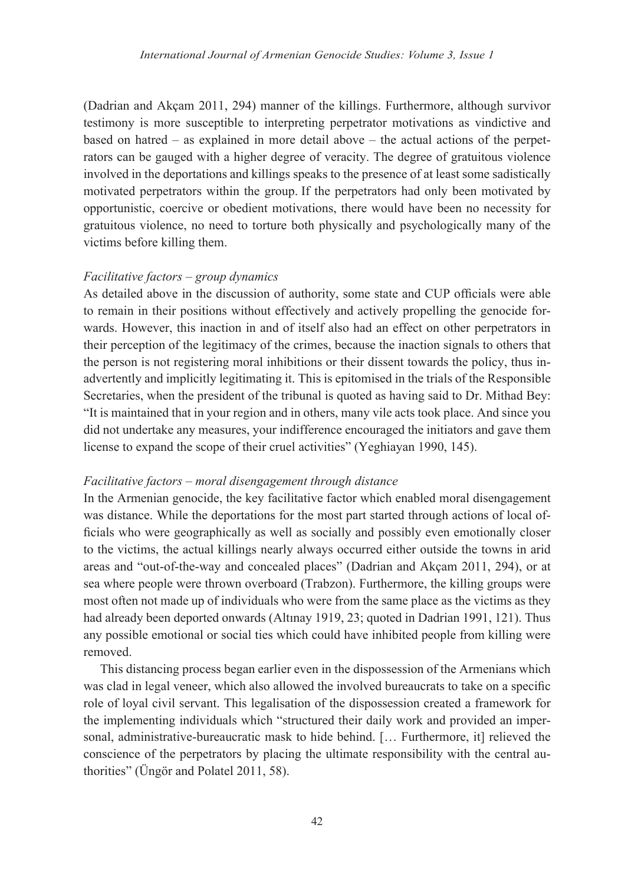(Dadrian and Akçam 2011, 294) manner of the killings. Furthermore, although survivor testimony is more susceptible to interpreting perpetrator motivations as vindictive and based on hatred – as explained in more detail above – the actual actions of the perpetrators can be gauged with a higher degree of veracity. The degree of gratuitous violence involved in the deportations and killings speaks to the presence of at least some sadistically motivated perpetrators within the group. If the perpetrators had only been motivated by opportunistic, coercive or obedient motivations, there would have been no necessity for gratuitous violence, no need to torture both physically and psychologically many of the victims before killing them.

### *Facilitative factors – group dynamics*

As detailed above in the discussion of authority, some state and CUP officials were able to remain in their positions without effectively and actively propelling the genocide forwards. However, this inaction in and of itself also had an effect on other perpetrators in their perception of the legitimacy of the crimes, because the inaction signals to others that the person is not registering moral inhibitions or their dissent towards the policy, thus inadvertently and implicitly legitimating it. This is epitomised in the trials of the Responsible Secretaries, when the president of the tribunal is quoted as having said to Dr. Mithad Bey: "It is maintained that in your region and in others, many vile acts took place. And since you did not undertake any measures, your indifference encouraged the initiators and gave them license to expand the scope of their cruel activities" (Yeghiayan 1990, 145).

#### *Facilitative factors – moral disengagement through distance*

In the Armenian genocide, the key facilitative factor which enabled moral disengagement was distance. While the deportations for the most part started through actions of local officials who were geographically as well as socially and possibly even emotionally closer to the victims, the actual killings nearly always occurred either outside the towns in arid areas and "out-of-the-way and concealed places" (Dadrian and Akçam 2011, 294), or at sea where people were thrown overboard (Trabzon). Furthermore, the killing groups were most often not made up of individuals who were from the same place as the victims as they had already been deported onwards (Altınay 1919, 23; quoted in Dadrian 1991, 121). Thus any possible emotional or social ties which could have inhibited people from killing were removed.

This distancing process began earlier even in the dispossession of the Armenians which was clad in legal veneer, which also allowed the involved bureaucrats to take on a specific role of loyal civil servant. This legalisation of the dispossession created a framework for the implementing individuals which "structured their daily work and provided an impersonal, administrative-bureaucratic mask to hide behind. [… Furthermore, it] relieved the conscience of the perpetrators by placing the ultimate responsibility with the central authorities" (Üngör and Polatel 2011, 58).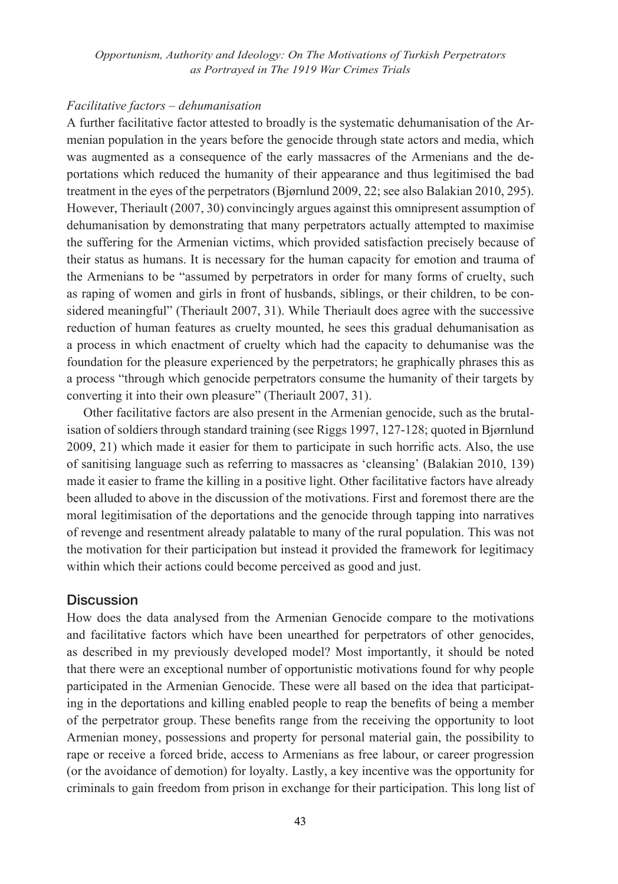#### *Facilitative factors – dehumanisation*

A further facilitative factor attested to broadly is the systematic dehumanisation of the Armenian population in the years before the genocide through state actors and media, which was augmented as a consequence of the early massacres of the Armenians and the deportations which reduced the humanity of their appearance and thus legitimised the bad treatment in the eyes of the perpetrators (Bjørnlund 2009, 22; see also Balakian 2010, 295). However, Theriault (2007, 30) convincingly argues against this omnipresent assumption of dehumanisation by demonstrating that many perpetrators actually attempted to maximise the suffering for the Armenian victims, which provided satisfaction precisely because of their status as humans. It is necessary for the human capacity for emotion and trauma of the Armenians to be "assumed by perpetrators in order for many forms of cruelty, such as raping of women and girls in front of husbands, siblings, or their children, to be considered meaningful" (Theriault 2007, 31). While Theriault does agree with the successive reduction of human features as cruelty mounted, he sees this gradual dehumanisation as a process in which enactment of cruelty which had the capacity to dehumanise was the foundation for the pleasure experienced by the perpetrators; he graphically phrases this as a process "through which genocide perpetrators consume the humanity of their targets by converting it into their own pleasure" (Theriault 2007, 31).

Other facilitative factors are also present in the Armenian genocide, such as the brutalisation of soldiers through standard training (see Riggs 1997, 127-128; quoted in Bjørnlund 2009, 21) which made it easier for them to participate in such horrific acts. Also, the use of sanitising language such as referring to massacres as 'cleansing' (Balakian 2010, 139) made it easier to frame the killing in a positive light. Other facilitative factors have already been alluded to above in the discussion of the motivations. First and foremost there are the moral legitimisation of the deportations and the genocide through tapping into narratives of revenge and resentment already palatable to many of the rural population. This was not the motivation for their participation but instead it provided the framework for legitimacy within which their actions could become perceived as good and just.

#### **Discussion**

How does the data analysed from the Armenian Genocide compare to the motivations and facilitative factors which have been unearthed for perpetrators of other genocides, as described in my previously developed model? Most importantly, it should be noted that there were an exceptional number of opportunistic motivations found for why people participated in the Armenian Genocide. These were all based on the idea that participating in the deportations and killing enabled people to reap the benefits of being a member of the perpetrator group. These benefits range from the receiving the opportunity to loot Armenian money, possessions and property for personal material gain, the possibility to rape or receive a forced bride, access to Armenians as free labour, or career progression (or the avoidance of demotion) for loyalty. Lastly, a key incentive was the opportunity for criminals to gain freedom from prison in exchange for their participation. This long list of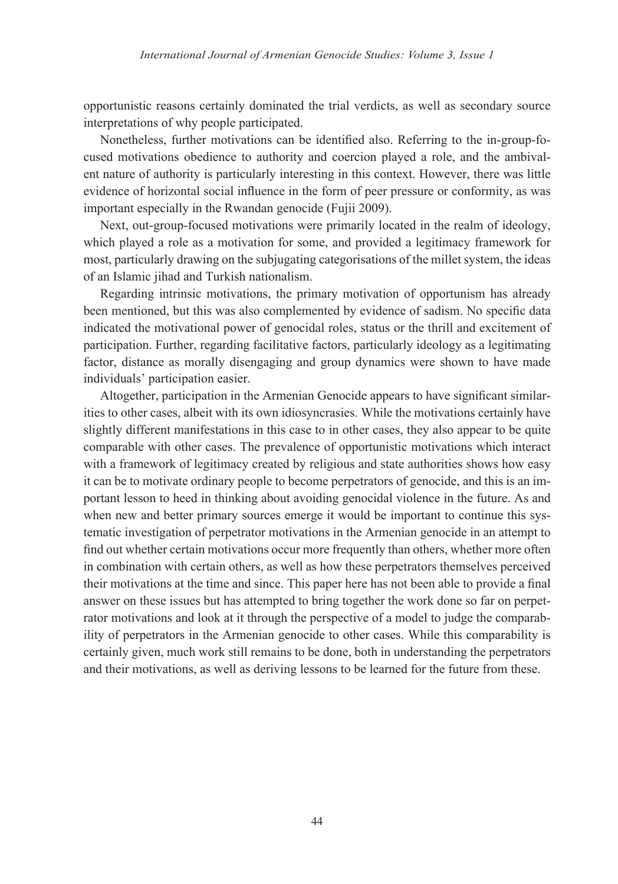opportunistic reasons certainly dominated the trial verdicts, as well as secondary source interpretations of why people participated.

Nonetheless, further motivations can be identified also. Referring to the in-group-focused motivations obedience to authority and coercion played a role, and the ambivalent nature of authority is particularly interesting in this context. However, there was little evidence of horizontal social influence in the form of peer pressure or conformity, as was important especially in the Rwandan genocide (Fujii 2009).

Next, out-group-focused motivations were primarily located in the realm of ideology, which played a role as a motivation for some, and provided a legitimacy framework for most, particularly drawing on the subjugating categorisations of the millet system, the ideas of an Islamic jihad and Turkish nationalism.

Regarding intrinsic motivations, the primary motivation of opportunism has already been mentioned, but this was also complemented by evidence of sadism. No specific data indicated the motivational power of genocidal roles, status or the thrill and excitement of participation. Further, regarding facilitative factors, particularly ideology as a legitimating factor, distance as morally disengaging and group dynamics were shown to have made individuals' participation easier.

Altogether, participation in the Armenian Genocide appears to have significant similarities to other cases, albeit with its own idiosyncrasies. While the motivations certainly have slightly different manifestations in this case to in other cases, they also appear to be quite comparable with other cases. The prevalence of opportunistic motivations which interact with a framework of legitimacy created by religious and state authorities shows how easy it can be to motivate ordinary people to become perpetrators of genocide, and this is an important lesson to heed in thinking about avoiding genocidal violence in the future. As and when new and better primary sources emerge it would be important to continue this systematic investigation of perpetrator motivations in the Armenian genocide in an attempt to find out whether certain motivations occur more frequently than others, whether more often in combination with certain others, as well as how these perpetrators themselves perceived their motivations at the time and since. This paper here has not been able to provide a final answer on these issues but has attempted to bring together the work done so far on perpetrator motivations and look at it through the perspective of a model to judge the comparability of perpetrators in the Armenian genocide to other cases. While this comparability is certainly given, much work still remains to be done, both in understanding the perpetrators and their motivations, as well as deriving lessons to be learned for the future from these.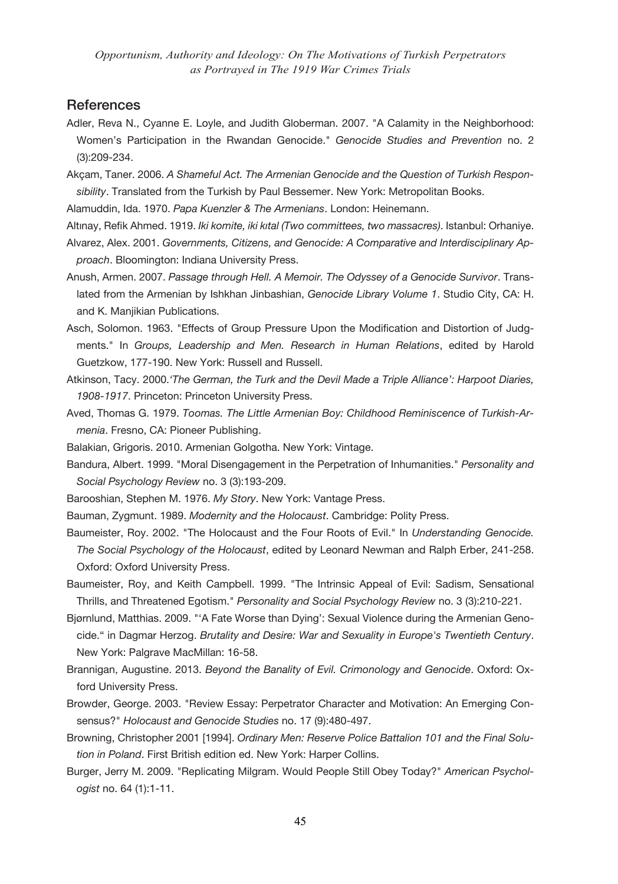## **References**

- Adler, Reva N., Cyanne E. Loyle, and Judith Globerman. 2007. "A Calamity in the Neighborhood: Women's Participation in the Rwandan Genocide." *Genocide Studies and Prevention* no. 2 (3):209-234.
- Akçam, Taner. 2006. *A Shameful Act. The Armenian Genocide and the Question of Turkish Responsibility*. Translated from the Turkish by Paul Bessemer. New York: Metropolitan Books.
- Alamuddin, Ida. 1970. *Papa Kuenzler & The Armenians*. London: Heinemann.
- Altınay, Refik Ahmed. 1919. *Iki komite, iki kıtal (Two committees, two massacres)*. Istanbul: Orhaniye. Alvarez, Alex. 2001. *Governments, Citizens, and Genocide: A Comparative and Interdisciplinary Approach*. Bloomington: Indiana University Press.
- Anush, Armen. 2007. *Passage through Hell. A Memoir. The Odyssey of a Genocide Survivor*. Translated from the Armenian by Ishkhan Jinbashian, *Genocide Library Volume 1*. Studio City, CA: H. and K. Manjikian Publications.
- Asch, Solomon. 1963. "Effects of Group Pressure Upon the Modification and Distortion of Judgments." In *Groups, Leadership and Men. Research in Human Relations*, edited by Harold Guetzkow, 177-190. New York: Russell and Russell.
- Atkinson, Tacy. 2000.*'The German, the Turk and the Devil Made a Triple Alliance': Harpoot Diaries, 1908-1917*. Princeton: Princeton University Press.
- Aved, Thomas G. 1979. *Toomas. The Little Armenian Boy: Childhood Reminiscence of Turkish-Armenia*. Fresno, CA: Pioneer Publishing.
- Balakian, Grigoris. 2010. Armenian Golgotha. New York: Vintage.
- Bandura, Albert. 1999. "Moral Disengagement in the Perpetration of Inhumanities." *Personality and Social Psychology Review* no. 3 (3):193-209.
- Barooshian, Stephen M. 1976. *My Story*. New York: Vantage Press.
- Bauman, Zygmunt. 1989. *Modernity and the Holocaust*. Cambridge: Polity Press.
- Baumeister, Roy. 2002. "The Holocaust and the Four Roots of Evil." In *Understanding Genocide. The Social Psychology of the Holocaust*, edited by Leonard Newman and Ralph Erber, 241-258. Oxford: Oxford University Press.
- Baumeister, Roy, and Keith Campbell. 1999. "The Intrinsic Appeal of Evil: Sadism, Sensational Thrills, and Threatened Egotism." *Personality and Social Psychology Review* no. 3 (3):210-221.
- Bjørnlund, Matthias. 2009. "'A Fate Worse than Dying': Sexual Violence during the Armenian Genocide." in Dagmar Herzog. *Brutality and Desire: War and Sexuality in Europe's Twentieth Century*. New York: Palgrave MacMillan: 16-58.
- Brannigan, Augustine. 2013. *Beyond the Banality of Evil. Crimonology and Genocide*. Oxford: Oxford University Press.
- Browder, George. 2003. "Review Essay: Perpetrator Character and Motivation: An Emerging Consensus?" *Holocaust and Genocide Studies* no. 17 (9):480-497.
- Browning, Christopher 2001 [1994]. *Ordinary Men: Reserve Police Battalion 101 and the Final Solution in Poland*. First British edition ed. New York: Harper Collins.
- Burger, Jerry M. 2009. "Replicating Milgram. Would People Still Obey Today?" *American Psychologist* no. 64 (1):1-11.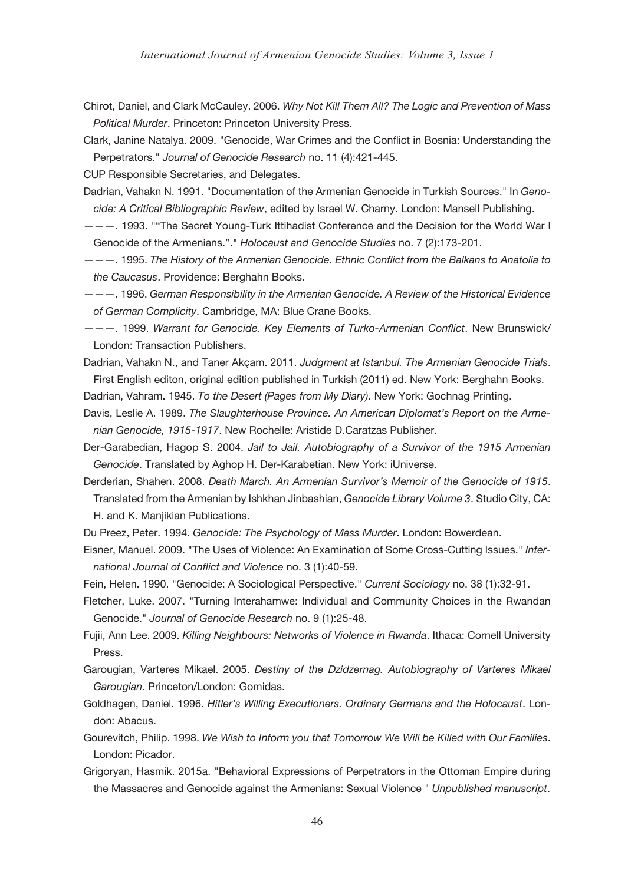- Chirot, Daniel, and Clark McCauley. 2006. *Why Not Kill Them All? The Logic and Prevention of Mass Political Murder*. Princeton: Princeton University Press.
- Clark, Janine Natalya. 2009. "Genocide, War Crimes and the Conflict in Bosnia: Understanding the Perpetrators." *Journal of Genocide Research* no. 11 (4):421-445.

CUP Responsible Secretaries, and Delegates.

- Dadrian, Vahakn N. 1991. "Documentation of the Armenian Genocide in Turkish Sources." In *Genocide: A Critical Bibliographic Review*, edited by Israel W. Charny. London: Mansell Publishing.
- ———. 1993. ""The Secret Young-Turk Ittihadist Conference and the Decision for the World War I Genocide of the Armenians."." *Holocaust and Genocide Studies* no. 7 (2):173-201.
- ———. 1995. *The History of the Armenian Genocide. Ethnic Conflict from the Balkans to Anatolia to the Caucasus*. Providence: Berghahn Books.
- ———. 1996. *German Responsibility in the Armenian Genocide. A Review of the Historical Evidence of German Complicity*. Cambridge, MA: Blue Crane Books.
- ———. 1999. *Warrant for Genocide. Key Elements of Turko-Armenian Conflict*. New Brunswick/ London: Transaction Publishers.
- Dadrian, Vahakn N., and Taner Akçam. 2011. *Judgment at Istanbul. The Armenian Genocide Trials*. First English editon, original edition published in Turkish (2011) ed. New York: Berghahn Books.
- Dadrian, Vahram. 1945. *To the Desert (Pages from My Diary)*. New York: Gochnag Printing.
- Davis, Leslie A. 1989. *The Slaughterhouse Province. An American Diplomat's Report on the Armenian Genocide, 1915-1917*. New Rochelle: Aristide D.Caratzas Publisher.
- Der-Garabedian, Hagop S. 2004. *Jail to Jail. Autobiography of a Survivor of the 1915 Armenian Genocide*. Translated by Aghop H. Der-Karabetian. New York: iUniverse.
- Derderian, Shahen. 2008. *Death March. An Armenian Survivor's Memoir of the Genocide of 1915*. Translated from the Armenian by Ishkhan Jinbashian, *Genocide Library Volume 3*. Studio City, CA: H. and K. Manjikian Publications.
- Du Preez, Peter. 1994. *Genocide: The Psychology of Mass Murder*. London: Bowerdean.
- Eisner, Manuel. 2009. "The Uses of Violence: An Examination of Some Cross-Cutting Issues." *International Journal of Conflict and Violence* no. 3 (1):40-59.
- Fein, Helen. 1990. "Genocide: A Sociological Perspective." *Current Sociology* no. 38 (1):32-91.
- Fletcher, Luke. 2007. "Turning Interahamwe: Individual and Community Choices in the Rwandan Genocide." *Journal of Genocide Research* no. 9 (1):25-48.
- Fujii, Ann Lee. 2009. *Killing Neighbours: Networks of Violence in Rwanda*. Ithaca: Cornell University Press.
- Garougian, Varteres Mikael. 2005. *Destiny of the Dzidzernag. Autobiography of Varteres Mikael Garougian*. Princeton/London: Gomidas.
- Goldhagen, Daniel. 1996. *Hitler's Willing Executioners. Ordinary Germans and the Holocaust*. London: Abacus.
- Gourevitch, Philip. 1998. *We Wish to Inform you that Tomorrow We Will be Killed with Our Families*. London: Picador.
- Grigoryan, Hasmik. 2015a. "Behavioral Expressions of Perpetrators in the Ottoman Empire during the Massacres and Genocide against the Armenians: Sexual Violence " *Unpublished manuscript*.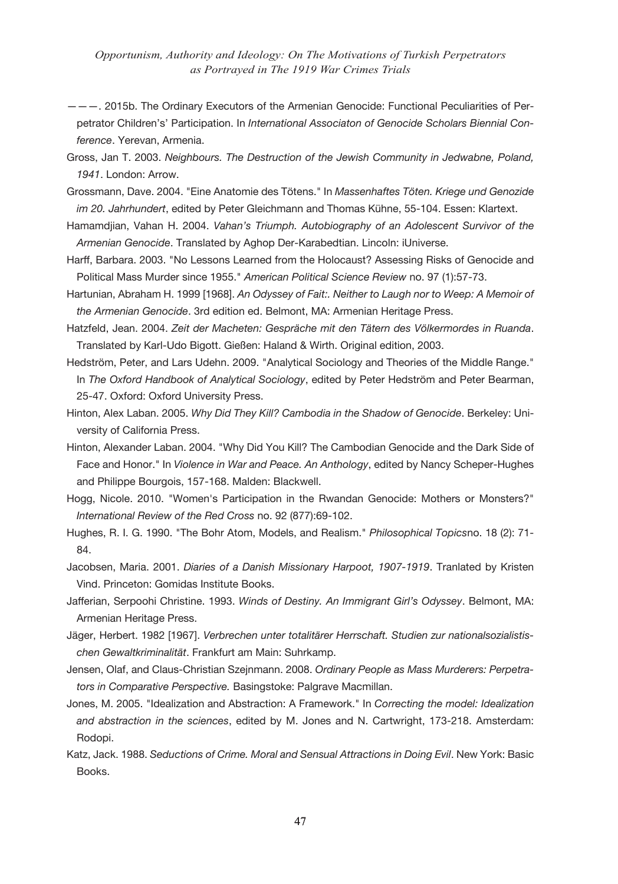- ———. 2015b. The Ordinary Executors of the Armenian Genocide: Functional Peculiarities of Perpetrator Children's' Participation. In *International Associaton of Genocide Scholars Biennial Conference*. Yerevan, Armenia.
- Gross, Jan T. 2003. *Neighbours. The Destruction of the Jewish Community in Jedwabne, Poland, 1941*. London: Arrow.

Grossmann, Dave. 2004. "Eine Anatomie des Tötens." In *Massenhaftes Töten. Kriege und Genozide im 20. Jahrhundert*, edited by Peter Gleichmann and Thomas Kühne, 55-104. Essen: Klartext.

Hamamdjian, Vahan H. 2004. *Vahan's Triumph. Autobiography of an Adolescent Survivor of the Armenian Genocide*. Translated by Aghop Der-Karabedtian. Lincoln: iUniverse.

Harff, Barbara. 2003. "No Lessons Learned from the Holocaust? Assessing Risks of Genocide and Political Mass Murder since 1955." *American Political Science Review* no. 97 (1):57-73.

Hartunian, Abraham H. 1999 [1968]. *An Odyssey of Fait:. Neither to Laugh nor to Weep: A Memoir of the Armenian Genocide*. 3rd edition ed. Belmont, MA: Armenian Heritage Press.

Hatzfeld, Jean. 2004. *Zeit der Macheten: Gespräche mit den Tätern des Völkermordes in Ruanda*. Translated by Karl-Udo Bigott. Gießen: Haland & Wirth. Original edition, 2003.

Hedström, Peter, and Lars Udehn. 2009. "Analytical Sociology and Theories of the Middle Range." In *The Oxford Handbook of Analytical Sociology*, edited by Peter Hedström and Peter Bearman, 25-47. Oxford: Oxford University Press.

- Hinton, Alex Laban. 2005. *Why Did They Kill? Cambodia in the Shadow of Genocide*. Berkeley: University of California Press.
- Hinton, Alexander Laban. 2004. "Why Did You Kill? The Cambodian Genocide and the Dark Side of Face and Honor." In *Violence in War and Peace. An Anthology*, edited by Nancy Scheper-Hughes and Philippe Bourgois, 157-168. Malden: Blackwell.
- Hogg, Nicole. 2010. "Women's Participation in the Rwandan Genocide: Mothers or Monsters?" *International Review of the Red Cross* no. 92 (877):69-102.
- Hughes, R. I. G. 1990. "The Bohr Atom, Models, and Realism." *Philosophical Topics*no. 18 (2): 71- 84.
- Jacobsen, Maria. 2001. *Diaries of a Danish Missionary Harpoot, 1907-1919*. Tranlated by Kristen Vind. Princeton: Gomidas Institute Books.
- Jafferian, Serpoohi Christine. 1993. *Winds of Destiny. An Immigrant Girl's Odyssey*. Belmont, MA: Armenian Heritage Press.
- Jäger, Herbert. 1982 [1967]. *Verbrechen unter totalitärer Herrschaft. Studien zur nationalsozialistischen Gewaltkriminalität*. Frankfurt am Main: Suhrkamp.

Jensen, Olaf, and Claus-Christian Szejnmann. 2008. *Ordinary People as Mass Murderers: Perpetrators in Comparative Perspective.* Basingstoke: Palgrave Macmillan.

- Jones, M. 2005. "Idealization and Abstraction: A Framework." In *Correcting the model: Idealization and abstraction in the sciences*, edited by M. Jones and N. Cartwright, 173-218. Amsterdam: Rodopi.
- Katz, Jack. 1988. *Seductions of Crime. Moral and Sensual Attractions in Doing Evil*. New York: Basic Books.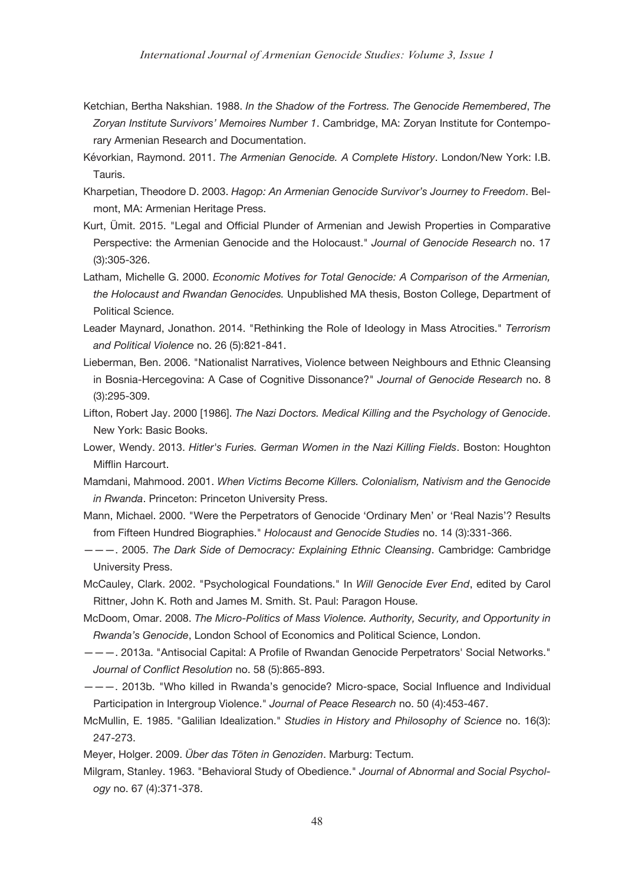- Ketchian, Bertha Nakshian. 1988. *In the Shadow of the Fortress. The Genocide Remembered*, *The Zoryan Institute Survivors' Memoires Number 1*. Cambridge, MA: Zoryan Institute for Contemporary Armenian Research and Documentation.
- Kévorkian, Raymond. 2011. *The Armenian Genocide. A Complete History*. London/New York: I.B. Tauris.
- Kharpetian, Theodore D. 2003. *Hagop: An Armenian Genocide Survivor's Journey to Freedom*. Belmont, MA: Armenian Heritage Press.
- Kurt, Ümit. 2015. "Legal and Official Plunder of Armenian and Jewish Properties in Comparative Perspective: the Armenian Genocide and the Holocaust." *Journal of Genocide Research* no. 17 (3):305-326.
- Latham, Michelle G. 2000. *Economic Motives for Total Genocide: A Comparison of the Armenian, the Holocaust and Rwandan Genocides.* Unpublished MA thesis, Boston College, Department of Political Science.
- Leader Maynard, Jonathon. 2014. "Rethinking the Role of Ideology in Mass Atrocities." *Terrorism and Political Violence* no. 26 (5):821-841.
- Lieberman, Ben. 2006. "Nationalist Narratives, Violence between Neighbours and Ethnic Cleansing in Bosnia-Hercegovina: A Case of Cognitive Dissonance?" *Journal of Genocide Research* no. 8 (3):295-309.
- Lifton, Robert Jay. 2000 [1986]. *The Nazi Doctors. Medical Killing and the Psychology of Genocide*. New York: Basic Books.
- Lower, Wendy. 2013. *Hitler's Furies. German Women in the Nazi Killing Fields*. Boston: Houghton Mifflin Harcourt.
- Mamdani, Mahmood. 2001. *When Victims Become Killers. Colonialism, Nativism and the Genocide in Rwanda*. Princeton: Princeton University Press.
- Mann, Michael. 2000. "Were the Perpetrators of Genocide 'Ordinary Men' or 'Real Nazis'? Results from Fifteen Hundred Biographies." *Holocaust and Genocide Studies* no. 14 (3):331-366.
- ———. 2005. *The Dark Side of Democracy: Explaining Ethnic Cleansing*. Cambridge: Cambridge University Press.
- McCauley, Clark. 2002. "Psychological Foundations." In *Will Genocide Ever End*, edited by Carol Rittner, John K. Roth and James M. Smith. St. Paul: Paragon House.
- McDoom, Omar. 2008. *The Micro-Politics of Mass Violence. Authority, Security, and Opportunity in Rwanda's Genocide*, London School of Economics and Political Science, London.
- ———. 2013a. "Antisocial Capital: A Profile of Rwandan Genocide Perpetrators' Social Networks." *Journal of Conflict Resolution* no. 58 (5):865-893.
- ———. 2013b. "Who killed in Rwanda's genocide? Micro-space, Social Influence and Individual Participation in Intergroup Violence." *Journal of Peace Research* no. 50 (4):453-467.
- McMullin, E. 1985. "Galilian Idealization." *Studies in History and Philosophy of Science* no. 16(3): 247-273.
- Meyer, Holger. 2009. *Über das Töten in Genoziden*. Marburg: Tectum.
- Milgram, Stanley. 1963. "Behavioral Study of Obedience." *Journal of Abnormal and Social Psychology* no. 67 (4):371-378.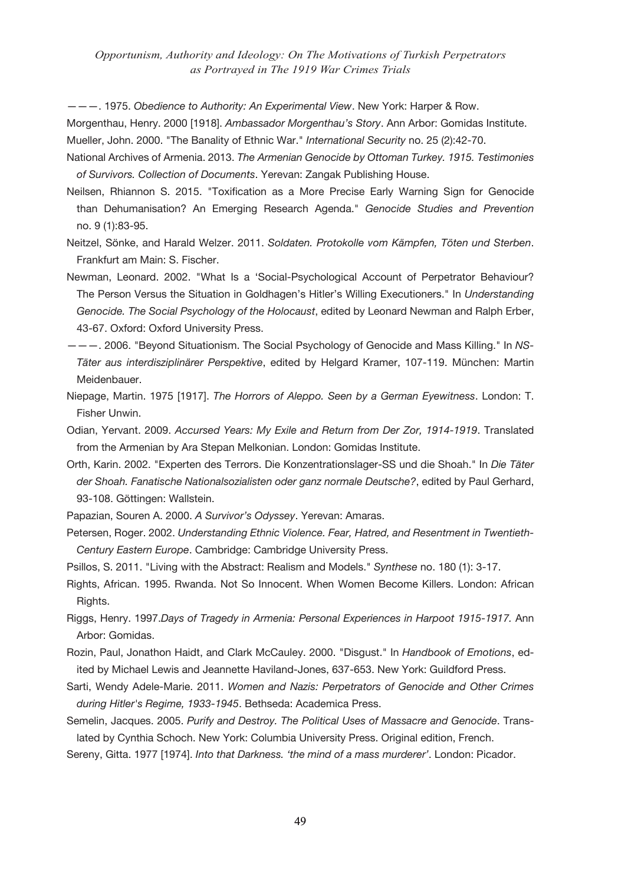———. 1975. *Obedience to Authority: An Experimental View*. New York: Harper & Row.

Morgenthau, Henry. 2000 [1918]. *Ambassador Morgenthau's Story*. Ann Arbor: Gomidas Institute. Mueller, John. 2000. "The Banality of Ethnic War." *International Security* no. 25 (2):42-70.

- National Archives of Armenia. 2013. *The Armenian Genocide by Ottoman Turkey. 1915. Testimonies of Survivors. Collection of Documents*. Yerevan: Zangak Publishing House.
- Neilsen, Rhiannon S. 2015. "Toxification as a More Precise Early Warning Sign for Genocide than Dehumanisation? An Emerging Research Agenda." *Genocide Studies and Prevention* no. 9 (1):83-95.
- Neitzel, Sönke, and Harald Welzer. 2011. *Soldaten. Protokolle vom Kämpfen, Töten und Sterben*. Frankfurt am Main: S. Fischer.
- Newman, Leonard. 2002. "What Is a 'Social-Psychological Account of Perpetrator Behaviour? The Person Versus the Situation in Goldhagen's Hitler's Willing Executioners." In *Understanding Genocide. The Social Psychology of the Holocaust*, edited by Leonard Newman and Ralph Erber, 43-67. Oxford: Oxford University Press.
- ———. 2006. "Beyond Situationism. The Social Psychology of Genocide and Mass Killing." In *NS-Täter aus interdisziplinärer Perspektive*, edited by Helgard Kramer, 107-119. München: Martin Meidenbauer.
- Niepage, Martin. 1975 [1917]. *The Horrors of Aleppo. Seen by a German Eyewitness*. London: T. Fisher Unwin.
- Odian, Yervant. 2009. *Accursed Years: My Exile and Return from Der Zor, 1914-1919*. Translated from the Armenian by Ara Stepan Melkonian. London: Gomidas Institute.
- Orth, Karin. 2002. "Experten des Terrors. Die Konzentrationslager-SS und die Shoah." In *Die Täter der Shoah. Fanatische Nationalsozialisten oder ganz normale Deutsche?*, edited by Paul Gerhard, 93-108. Göttingen: Wallstein.
- Papazian, Souren A. 2000. *A Survivor's Odyssey*. Yerevan: Amaras.
- Petersen, Roger. 2002. *Understanding Ethnic Violence. Fear, Hatred, and Resentment in Twentieth-Century Eastern Europe*. Cambridge: Cambridge University Press.
- Psillos, S. 2011. "Living with the Abstract: Realism and Models." *Synthese* no. 180 (1): 3-17.
- Rights, African. 1995. Rwanda. Not So Innocent. When Women Become Killers. London: African Rights.
- Riggs, Henry. 1997.*Days of Tragedy in Armenia: Personal Experiences in Harpoot 1915-1917.* Ann Arbor: Gomidas.
- Rozin, Paul, Jonathon Haidt, and Clark McCauley. 2000. "Disgust." In *Handbook of Emotions*, edited by Michael Lewis and Jeannette Haviland-Jones, 637-653. New York: Guildford Press.
- Sarti, Wendy Adele-Marie. 2011. *Women and Nazis: Perpetrators of Genocide and Other Crimes during Hitler's Regime, 1933-1945*. Bethseda: Academica Press.
- Semelin, Jacques. 2005. *Purify and Destroy. The Political Uses of Massacre and Genocide*. Translated by Cynthia Schoch. New York: Columbia University Press. Original edition, French.
- Sereny, Gitta. 1977 [1974]. *Into that Darkness. 'the mind of a mass murderer'*. London: Picador.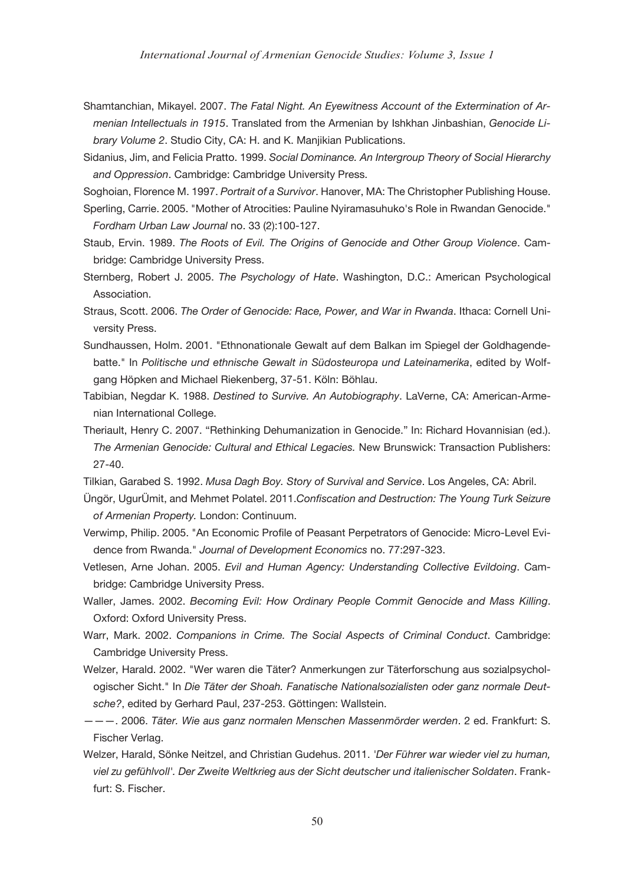- Shamtanchian, Mikayel. 2007. *The Fatal Night. An Eyewitness Account of the Extermination of Armenian Intellectuals in 1915*. Translated from the Armenian by Ishkhan Jinbashian, *Genocide Library Volume 2*. Studio City, CA: H. and K. Manjikian Publications.
- Sidanius, Jim, and Felicia Pratto. 1999. *Social Dominance. An Intergroup Theory of Social Hierarchy and Oppression*. Cambridge: Cambridge University Press.
- Soghoian, Florence M. 1997. *Portrait of a Survivor*. Hanover, MA: The Christopher Publishing House.
- Sperling, Carrie. 2005. "Mother of Atrocities: Pauline Nyiramasuhuko's Role in Rwandan Genocide." *Fordham Urban Law Journal* no. 33 (2):100-127.
- Staub, Ervin. 1989. *The Roots of Evil. The Origins of Genocide and Other Group Violence*. Cambridge: Cambridge University Press.
- Sternberg, Robert J. 2005. *The Psychology of Hate*. Washington, D.C.: American Psychological Association.
- Straus, Scott. 2006. *The Order of Genocide: Race, Power, and War in Rwanda*. Ithaca: Cornell University Press.
- Sundhaussen, Holm. 2001. "Ethnonationale Gewalt auf dem Balkan im Spiegel der Goldhagendebatte." In *Politische und ethnische Gewalt in Südosteuropa und Lateinamerika*, edited by Wolfgang Höpken and Michael Riekenberg, 37-51. Köln: Böhlau.
- Tabibian, Negdar K. 1988. *Destined to Survive. An Autobiography*. LaVerne, CA: American-Armenian International College.
- Theriault, Henry C. 2007. "Rethinking Dehumanization in Genocide." In: Richard Hovannisian (ed.). *The Armenian Genocide: Cultural and Ethical Legacies.* New Brunswick: Transaction Publishers: 27-40.
- Tilkian, Garabed S. 1992. *Musa Dagh Boy. Story of Survival and Service*. Los Angeles, CA: Abril.
- Üngör, UgurÜmit, and Mehmet Polatel. 2011.*Confiscation and Destruction: The Young Turk Seizure of Armenian Property.* London: Continuum.
- Verwimp, Philip. 2005. "An Economic Profile of Peasant Perpetrators of Genocide: Micro-Level Evidence from Rwanda." *Journal of Development Economics* no. 77:297-323.
- Vetlesen, Arne Johan. 2005. *Evil and Human Agency: Understanding Collective Evildoing*. Cambridge: Cambridge University Press.
- Waller, James. 2002. *Becoming Evil: How Ordinary People Commit Genocide and Mass Killing*. Oxford: Oxford University Press.
- Warr, Mark. 2002. *Companions in Crime. The Social Aspects of Criminal Conduct*. Cambridge: Cambridge University Press.
- Welzer, Harald. 2002. "Wer waren die Täter? Anmerkungen zur Täterforschung aus sozialpsychologischer Sicht." In *Die Täter der Shoah. Fanatische Nationalsozialisten oder ganz normale Deutsche?*, edited by Gerhard Paul, 237-253. Göttingen: Wallstein.
- ———. 2006. *Täter. Wie aus ganz normalen Menschen Massenmörder werden*. 2 ed. Frankfurt: S. Fischer Verlag.
- Welzer, Harald, Sönke Neitzel, and Christian Gudehus. 2011. *'Der Führer war wieder viel zu human, viel zu gefühlvoll'. Der Zweite Weltkrieg aus der Sicht deutscher und italienischer Soldaten*. Frankfurt: S. Fischer.